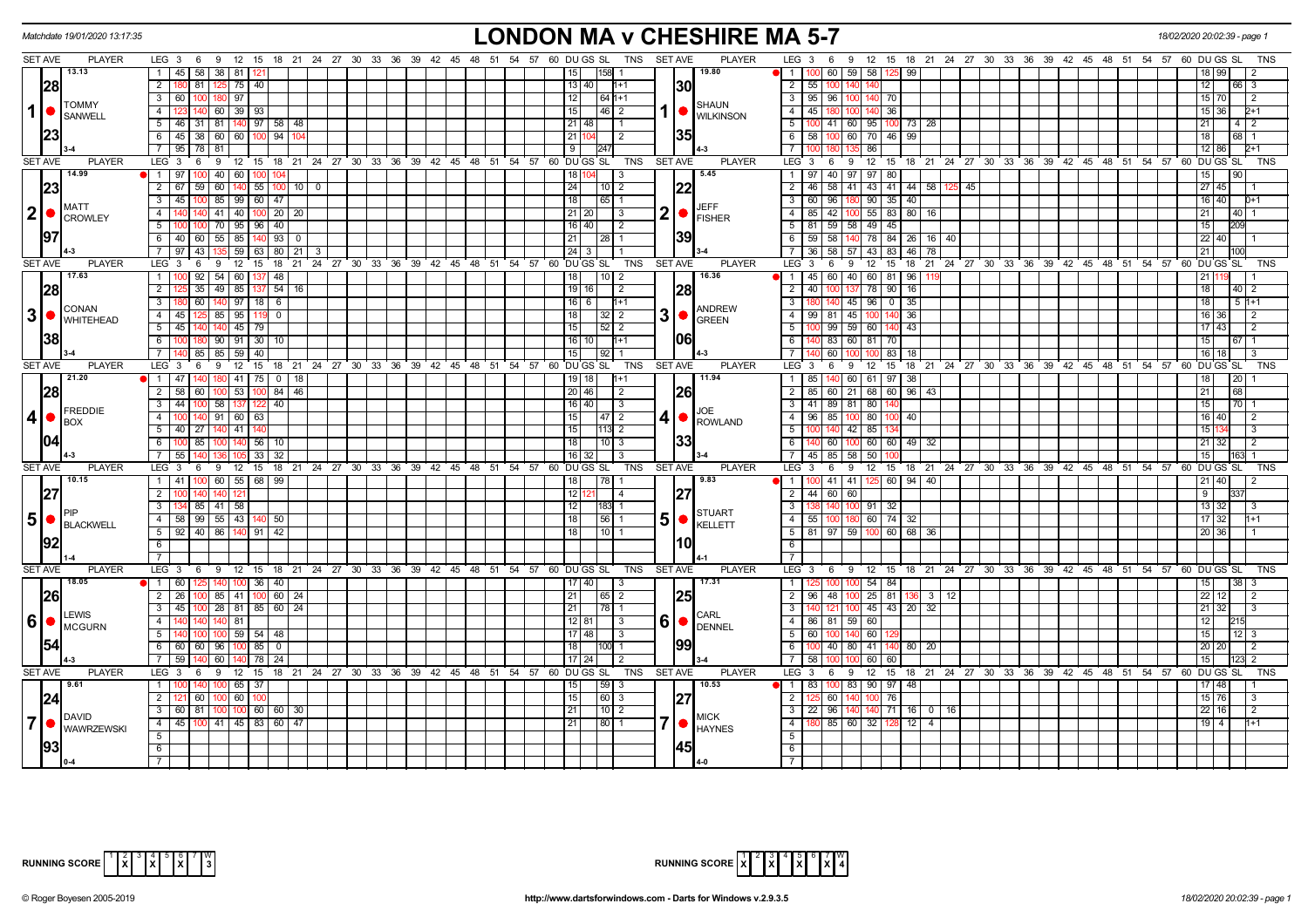|                | Matchdate 19/01/2020 13:17:35                                        | <b>LONDON MA v CHESHIRE MA 5-7</b>                                                                                       |                 |                                 | 18/02/2020 20:02:39 - page                                                                              |
|----------------|----------------------------------------------------------------------|--------------------------------------------------------------------------------------------------------------------------|-----------------|---------------------------------|---------------------------------------------------------------------------------------------------------|
|                | <b>SET AVE</b><br><b>PLAYER</b>                                      | TNS SET AVE<br>LEG 3 6 9 12 15 18 21 24 27 30 33 36 39 42 45 48 51 54 57 60 DUGS SL                                      |                 | <b>PLAYER</b>                   | LEG 3 6 9 12 15 18 21 24 27 30 33 36 39 42 45 48 51 54 57 60 DUGS SL<br>TNS                             |
|                | 13.13                                                                | 1 45 58 38 81<br>158<br>15 I                                                                                             |                 | 19.80                           | 60 I<br>59 58<br>99                                                                                     |
|                | 28                                                                   | $\overline{2}$<br>180 81<br>125 75 40<br>  13   40                                                                       |                 | 30                              | 2   55   100<br>3                                                                                       |
|                | <b>TOMMY</b>                                                         | 3   60   100<br>97<br> 12 <br>$64 1+1$<br>180                                                                            |                 | <b>SHAUN</b>                    | 3   95   96   100   140   70<br>$15 \overline{)70}$<br>2                                                |
|                | 1 ●<br>SANWELL                                                       | $140$ 60 39 $93$<br> 46 2<br>4 I<br>15                                                                                   |                 | <b>WILKINSON</b>                | $4 \mid 45 \mid$<br>140 36<br>15 36<br>100 <sub>1</sub>                                                 |
|                |                                                                      | 5 46 31 81 140 97 58 48<br>  21   48                                                                                     |                 |                                 | 5   100   41   60   95   100   73   28<br>4   2                                                         |
|                | 23                                                                   | 6 45 38 60 60 100 94<br>l 21 l1<br>$\overline{2}$                                                                        |                 | 35                              | 6 58 100 60 70 46 99<br>18<br>68 I                                                                      |
|                |                                                                      | 7 95 78 81<br>247<br>9                                                                                                   |                 |                                 | 7 <sup>1</sup><br>86<br>12                                                                              |
|                | SET AVE<br><b>PLAYER</b>                                             | LEG 3<br>9 12 15 18 21 24 27 30 33 36 39 42 45 48 51 54 57 60 DUGS SL<br>6<br>TNS                                        | <b>SET AVE</b>  | <b>PLAYER</b>                   | LEG <sup>3</sup><br>12 15 18 21 24 27 30 33 36 39 42 45 48 51 54 57 60 DUGS SL<br>6<br>9<br>TNS         |
|                | 14.99                                                                | 1 97 100 40 60 100<br>104<br>18   1<br>3                                                                                 |                 | 5.45                            | 1   97   40   97   97   80<br>15<br>90                                                                  |
|                | 23                                                                   | 2 67 59 60<br>$140$ 55 $100$ 10 0<br> 24 <br>$10$   2                                                                    |                 |                                 | 2 46 58 41 43 41 44 58<br>27   45<br>45                                                                 |
|                |                                                                      | 3   45   100   85   99   60   47<br> 18 <br> 65                                                                          |                 |                                 | 3   60   96<br>$90 \mid 35 \mid 40 \mid$<br>16 40                                                       |
|                | <b>MATT</b><br>2 •                                                   | 140 41 40 100 20 20<br>4 I<br> 21 20 <br>3                                                                               |                 | JEFF<br>$2  \bullet  _{FISHER}$ | 4   85   42   100   55   83   80   16<br>21<br>40                                                       |
|                | CROWLEY                                                              | 5 <sup>1</sup><br>$100$ 70   95   96   40<br>  16   40  <br>$\vert$ 2                                                    |                 |                                 | 5   81   59   58   49   45<br>15                                                                        |
|                | 97                                                                   | 6 40 60 55<br>85 140<br>93<br>$\overline{\mathbf{0}}$<br>28                                                              |                 | 39                              | $59$ 58<br>78 84 26 16 40<br>$6$  <br>22<br>40                                                          |
|                |                                                                      | 7 97 43<br>$59 \mid 63 \mid 80 \mid 21 \mid$<br>$\sqrt{24}$ 3                                                            |                 |                                 | 7   36   58   57   43   83   46   78                                                                    |
|                | <b>SET AVE</b><br><b>PLAYER</b>                                      | 12<br>15 <sup>2</sup><br>18<br>$^{\circ}$ 21<br>24 27 30 33 36 39 42 45 48 51 54 57 60 DUGS SL<br>TNS<br>LEG 3<br>6<br>9 | <b>SET AVE</b>  | <b>PLAYER</b>                   | LEG 3<br>12<br>15<br>18 21 24 27 30 33 36 39 42 45 48 51 54 57 60 DUGS SL<br>6<br>9<br><b>TNS</b>       |
|                | 17.63                                                                | $92$ 54 60 137 48<br>18<br>$\sqrt{10}$ 2<br>$1 \mid 10$                                                                  |                 | 16.36                           | 1 1 45 60 40 60 81 96                                                                                   |
|                | 28                                                                   | $\overline{2}$<br>35 49 85 137 54 16<br>$19$ 16<br>$\sqrt{2}$                                                            |                 | 28                              | 2   40  <br>78 90<br>16<br>18 <sup>1</sup><br>$40 \mid 2$                                               |
|                |                                                                      | 3<br>60 140 97 18 6<br>16 6 1<br>$1+1$                                                                                   |                 |                                 | $3 \mid 180$<br>$140$ 45 96 0<br>35<br>18<br>$51+1$                                                     |
|                | <b>CONAN</b><br>$3\big \bullet\big ^\text{CDNAN}_{\text{WHITEHEAD}}$ | 4 45 125 85<br>95 119<br>$\Omega$<br>l 18 l<br>32<br>$\sqrt{2}$                                                          | 3  <sub>o</sub> | <b>ANDREW</b>                   | $-4$<br>$99$ 81 45<br>100<br>36<br>36<br>2                                                              |
|                |                                                                      | $45 \mid 79$<br>5 45 140<br>15<br>$52$   2<br>140                                                                        |                 | <b>GREEN</b>                    | 99 59 60 140<br>5 <sub>1</sub><br>43<br>17<br>43<br>$\overline{2}$                                      |
|                | 38                                                                   | 100 180 90 91 30<br> 16 10 <br>$6\overline{6}$<br>10<br>l1+1                                                             |                 | 1061                            | 40 83 60 81 70<br>$6 \mid$<br>15                                                                        |
|                |                                                                      | 85 85 59 40<br>$7^{\circ}$<br>l 15 l<br>92                                                                               |                 |                                 | $\overline{7}$<br>60<br>83<br>16                                                                        |
|                | <b>SET AVE</b><br><b>PLAYER</b>                                      | LEG <sub>3</sub><br><b>TNS</b><br>12 15 18 21 24 27 30 33 36 39 42 45 48 51 54 57 60 DUGS SL<br>6<br>- 9                 | <b>SET AVE</b>  | <b>PLAYER</b>                   | LEG <sub>3</sub><br>12 15 18 21 24 27 30 33 36 39 42 45 48 51 54 57 60 DU GS SL<br>9<br><b>TNS</b><br>6 |
|                | 21.20                                                                | $41$ 75   0  <br>$1 \mid 47$<br>18<br>19   18                                                                            |                 | 11.94                           | 1   85   140   60   61   97<br>-38<br><b>20</b>                                                         |
|                | 28                                                                   | $\overline{2}$<br>53   100   84   46<br>58 60 100<br> 20 46 <br>$\overline{2}$                                           |                 | 26                              | $2$ 85 60 21 68 60 96 43<br>21<br>68                                                                    |
|                |                                                                      | 44 100 58<br>40<br>$\overline{\phantom{a}3}$<br>137 122<br>$16$ 40<br>$\overline{\mathbf{3}}$                            |                 |                                 | 3 41 89 81 80<br>15<br>70                                                                               |
|                | FREDDIE<br>$4  \bullet$                                              | 100 140 91 60 63<br>$-4$<br>$\sqrt{47}$ 2<br>15 I                                                                        | 4 I             | JOE                             | $4$   96   85   100   80   100  <br>16 40<br> 40 <br>$\mathcal{P}$                                      |
|                | <b>I</b> BOX                                                         | 5 40 27 140 41 140<br>15<br>$113$ 2                                                                                      |                 | ROWLAND                         | 5<br>$42 \ 85$<br>15<br>3                                                                               |
|                |                                                                      | 6   100   85   100   140   56   10<br>$110$ 3<br>  18                                                                    |                 | 33                              | 6   140   60   100   60   60   49   32<br>21 32<br>2                                                    |
|                |                                                                      | 7 55 140<br>$\overline{33}$<br>32<br>$16$ 32                                                                             |                 |                                 | 7 45 85 58 50 100<br>15                                                                                 |
|                | SET AVE<br><b>PLAYER</b>                                             | LEG 3<br>12 15 18 21 24 27 30 33 36 39 42 45 48 51 54 57 60 DUGS SL<br>6<br>- 9<br>TNS                                   | <b>SET AVE</b>  | <b>PLAYER</b>                   | $LEG_3$<br>12 15 18 21 24 27 30 33 36 39 42 45 48 51 54 57 60 DUGS SL<br>6<br>9<br><b>TNS</b>           |
|                | 10.15                                                                | 1 41 100 60 55 68 99<br>18<br> 78                                                                                        |                 | 9.83                            | 1   100   41   41   125   60   94   40  <br>$21 \mid 40$<br>$\overline{2}$                              |
|                | 27                                                                   | $\overline{2}$<br>12 12<br>$\overline{4}$                                                                                |                 | 27                              | 2   44   60   60<br>9                                                                                   |
|                |                                                                      | 3   134   85   41   58  <br> 12 <br> 183  1                                                                              |                 |                                 | 3 <sup>1</sup><br>140 100 91 32<br>13 32<br>-3                                                          |
| 5              | ●<br>BLACKWELL                                                       | 4 58 99 55 43 140 50<br>l 18 l<br>  56   1                                                                               | 5  <sub>o</sub> | <b>STUART</b><br>KELLETT        | 4   55   100   180   60   74   32  <br>17 32<br>$1+1$                                                   |
|                |                                                                      | 5   92   40   86   140   91   42<br>l 18 l<br>  10                                                                       |                 |                                 | 5   81   97   59   100   60   68   36<br>20 36                                                          |
|                |                                                                      | 6                                                                                                                        |                 | 10                              | 6                                                                                                       |
|                |                                                                      | $\overline{7}$                                                                                                           |                 |                                 | 7 <sup>1</sup>                                                                                          |
|                | SET AVE<br><b>PLAYER</b>                                             | LEG 3  6  9  12  15  18  21  24  27  30  33  36  39  42  45  48  51  54  57  60  DUGS SL<br>TNS                          | <b>SET AVE</b>  | <b>PLAYER</b>                   | 6 9 12 15 18 21 24 27 30 33 36 39 42 45 48 51 54 57 60 DUGS SL<br>LEG 3<br><b>TNS</b>                   |
|                | 18.05                                                                | $\bullet$ 1 60 125 140 100 36 40<br>$17$ 40<br>$\vert$ 3                                                                 |                 | 17.31                           | 100 100 54 84<br>$\overline{1}$<br>15<br>38<br>3                                                        |
|                | 26                                                                   | 2 26 100 85 41 100 60 24<br> 21 <br>$\overline{65}$ 2                                                                    |                 | 25                              | 2   96   48   100   25   81   136   3   12  <br>22 12<br>2                                              |
|                |                                                                      | 3   45   100   28   81   85   60   24<br>1211<br>178 1                                                                   |                 |                                 | $3 \mid 140 \mid 121 \mid 100 \mid 45 \mid 43 \mid 20 \mid 32$<br>$21 \overline{32}$<br>-3              |
| 6 <sup>1</sup> | LEWIS<br>$\bigcap_{MCGURN}$                                          | 4<br>81<br>140<br>140<br>14በ<br>12   81<br>3                                                                             |                 | CARL<br>$60$ $\degree$ DENNEL   | 4 86 81 59 60                                                                                           |
|                |                                                                      | $100$ $100$ $59$ $54$ $48$<br>5 <sub>1</sub><br>17 48 <br>-3                                                             |                 |                                 | $5 \mid 60$<br>60<br>15<br>12  <br>3                                                                    |
|                | 1541                                                                 | 6 60 60 96<br>$100$ 85<br>18<br>100<br>$\overline{0}$                                                                    |                 | 199                             | 6 I<br>40 80 41<br>80 20<br>20 20<br>$\overline{2}$                                                     |
|                |                                                                      | 7 59 140<br>60<br>24<br>  17   24  <br>  78  <br>-2                                                                      |                 |                                 | 7   58  <br>60 60<br>15<br>2                                                                            |
|                | <b>SET AVE</b><br><b>PLAYER</b>                                      | LEG 3 6 9 12 15 18 21 24 27 30 33 36 39 42 45 48 51 54 57 60 DUGS SL<br>TNS                                              | <b>SET AVE</b>  | <b>PLAYER</b>                   | LEG $3 \t6 \t9$<br>12 15 18 21 24 27 30 33 36 39 42 45 48 51 54 57 60 DUGS SL<br><b>TNS</b>             |
|                | 9.61                                                                 | 1110<br>65 37<br>59 3                                                                                                    |                 | 10.53                           | N 1 83 100 83 I<br>$90$ 97<br>48<br>l 48                                                                |
|                | 24                                                                   | $2 - 12$<br> 60 10<br>$\boxed{60}$ 3<br>60<br>15                                                                         |                 | 27                              | $\overline{2}$<br>60<br>100 76<br>$15 \overline{\smash{76}}$<br>3                                       |
|                | DAVID                                                                | $3$ 60 81 100<br>$100 \ 60 \ 60$ 30<br>$10$   2<br>l 21 l                                                                |                 | <b>MICK</b>                     | 3   22  <br>  96   140  <br>140 71<br>16 0 16<br>22 16<br>2                                             |
| 7 I            | <b>WAWRZEWSKI</b>                                                    | 4 4 45 100 41 45 83 60 47<br>21<br>80 1                                                                                  |                 | <b>HAYNES</b>                   | 4<br>85 60 32 128<br>$19$ 4<br>$12 \mid 4$<br>1+1                                                       |
|                |                                                                      | 5                                                                                                                        |                 |                                 | 5                                                                                                       |
|                | 93                                                                   | 6                                                                                                                        |                 |                                 | 6                                                                                                       |
|                |                                                                      | $\overline{7}$                                                                                                           |                 |                                 |                                                                                                         |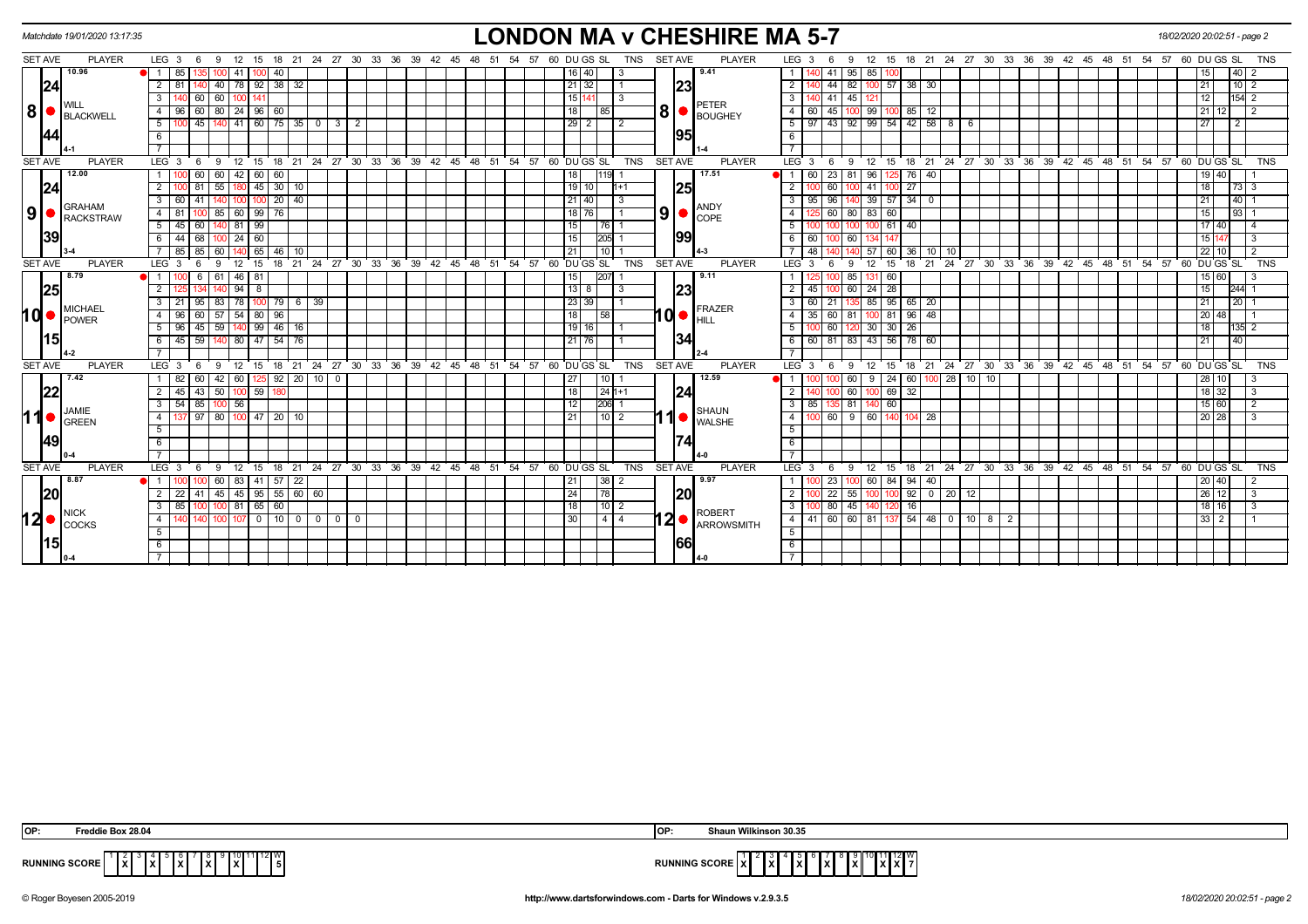|                | Matchdate 19/01/2020 13:17:35     |                |                  |             |                                          |               |                |                    |                      |              |  |               |                                  |             |    |                                                                       |                 |            |                |            | <b>LONDON MA v CHESHIRE MA 5-7</b>                          |                  |      |              |                                                                           |                   |          |              |                         |                 |  |                                                            |  | 18/02/2020 20:02:51 - page 2 |                    |              |                |            |
|----------------|-----------------------------------|----------------|------------------|-------------|------------------------------------------|---------------|----------------|--------------------|----------------------|--------------|--|---------------|----------------------------------|-------------|----|-----------------------------------------------------------------------|-----------------|------------|----------------|------------|-------------------------------------------------------------|------------------|------|--------------|---------------------------------------------------------------------------|-------------------|----------|--------------|-------------------------|-----------------|--|------------------------------------------------------------|--|------------------------------|--------------------|--------------|----------------|------------|
| <b>SET AVE</b> | <b>PLAYER</b>                     |                | LEG $3 \quad 6$  |             | - 9                                      | 12 15         |                |                    |                      |              |  |               |                                  |             |    | 18  21  24  27  30  33  36  39  42  45  48  51  54  57  60  DU GS  SL |                 | <b>TNS</b> | <b>SET AVE</b> |            | <b>PLAYER</b>                                               | LEG 3            |      |              | 9                                                                         |                   |          |              |                         |                 |  | 12 15 18 21 24 27 30 33 36 39 42 45 48 51 54 57 60 DUGS SL |  |                              |                    |              |                | <b>TNS</b> |
|                | 10.96                             |                | 85               |             |                                          | 41   1        | 100.           | 40                 |                      |              |  |               |                                  |             |    | 16   40                                                               |                 |            |                |            | 9.41                                                        | $\overline{1}$   |      | 41           | 95 85                                                                     |                   |          |              |                         |                 |  |                                                            |  |                              |                    |              | 40             |            |
|                | 24                                | $\overline{2}$ | -81              |             | 40                                       | 78 92         |                | 38<br>$\sqrt{32}$  |                      |              |  |               |                                  |             |    | $21 \mid 32$                                                          |                 |            |                | 23         |                                                             | $\overline{2}$   |      | 44           | 82                                                                        | 100               | 57       | $38 \mid 30$ |                         |                 |  |                                                            |  |                              | 21                 |              | $10 \mid 2$    |            |
|                |                                   | 3              |                  | 60          | 60                                       | ∶ ∣100        |                |                    |                      |              |  |               |                                  |             |    | 15 141                                                                | l 3             |            |                |            |                                                             | 3                |      | 140 41       | 45 121                                                                    |                   |          |              |                         |                 |  |                                                            |  |                              | 12                 |              | $154$ 2        |            |
| 8 <sup>1</sup> | BLACKWELL                         | $\overline{4}$ | 96 I             | 60          | 80                                       | $24$   96     | 60             |                    |                      |              |  |               |                                  |             |    | 18                                                                    | 85              |            |                |            | <b>PETER</b><br>$\mathbf{8}$ $\bullet$ $\mathbf{F}$ BOUGHEY | $\overline{4}$   | 60   | 45           | 100 99                                                                    |                   |          | $85 \mid 12$ |                         |                 |  |                                                            |  |                              | 21                 |              | $\overline{2}$ |            |
|                |                                   | 5              |                  |             | 45   140   41   60   75   35   0   3   2 |               |                |                    |                      |              |  |               |                                  |             |    | 29 2                                                                  | l 2             |            |                |            |                                                             |                  |      |              | $5 \mid 97 \mid 43 \mid 92 \mid 99 \mid 54 \mid 42 \mid 58 \mid 8 \mid 6$ |                   |          |              |                         |                 |  |                                                            |  |                              | 27                 |              | $\sqrt{2}$     |            |
|                |                                   | 6              |                  |             |                                          |               |                |                    |                      |              |  |               |                                  |             |    |                                                                       |                 |            |                | 195        |                                                             | - 6              |      |              |                                                                           |                   |          |              |                         |                 |  |                                                            |  |                              |                    |              |                |            |
|                |                                   | $\overline{7}$ |                  |             |                                          |               |                |                    |                      |              |  |               |                                  |             |    |                                                                       |                 |            |                |            |                                                             |                  |      |              |                                                                           |                   |          |              |                         |                 |  |                                                            |  |                              |                    |              |                |            |
| <b>SET AVE</b> | <b>PLAYER</b>                     |                | LEG <sup>3</sup> | - 6         | - 9                                      | $12$ 15       |                |                    |                      |              |  |               |                                  |             |    | 18 21 24 27 30 33 36 39 42 45 48 51 54 57 60 DUGS SL                  |                 | <b>TNS</b> | <b>SET AVE</b> |            | <b>PLAYER</b>                                               | LEG <sub>3</sub> |      | - 6          | -9                                                                        | 12                | 15       | 18 21        |                         |                 |  | 24 27 30 33 36 39 42 45 48 51 54 57 60 DUGS SL             |  |                              |                    |              |                | <b>TNS</b> |
|                | 12.00                             |                |                  | 60          | 60                                       | $42 \mid 60$  |                | 60                 |                      |              |  |               |                                  |             |    | 18                                                                    | $1119$ 1        |            |                |            | 17.51                                                       | 11               | 60   | 23           | 81 I                                                                      | 96                | 125      | 76 40        |                         |                 |  |                                                            |  |                              |                    | 19 40        |                |            |
|                | 24                                | $\overline{2}$ |                  |             | 55                                       |               | 45             | 30 10              |                      |              |  |               |                                  |             |    | 19 10                                                                 |                 | $1+1$      |                | <b>125</b> |                                                             |                  |      | 60           |                                                                           | 41                | 27       |              |                         |                 |  |                                                            |  |                              | 18                 |              | $73 \mid 3$    |            |
|                |                                   | 3              | 60               | 41          |                                          |               |                | 20<br>40           |                      |              |  |               |                                  |             |    | 21   40                                                               |                 |            |                |            |                                                             | 3                | 95   | 96           |                                                                           | 39                | 57<br>34 |              |                         |                 |  |                                                            |  |                              | 21                 |              | 40             |            |
| 9 <sup>1</sup> | <b>GRAHAM</b><br><b>RACKSTRAW</b> | $\overline{4}$ | 81               |             | 85                                       | 60 99         |                | 76                 |                      |              |  |               |                                  |             |    | 18 76                                                                 |                 |            |                |            | <b>ANDY</b><br>$9$ $\bullet$ $\frac{P^{IVL}}{COPE}$         | 4                | 1251 | 60           | 80 83                                                                     |                   | 60       |              |                         |                 |  |                                                            |  |                              | 15                 |              | 93             |            |
|                |                                   | 5              | $45 \vert$       | 60          |                                          | 81            | 99             |                    |                      |              |  |               |                                  |             |    | 15                                                                    |                 |            |                |            |                                                             | 5                |      |              |                                                                           |                   | 61<br>40 |              |                         |                 |  |                                                            |  |                              |                    | 17 40        | 4              |            |
|                | 39                                | -6             | 44               | 68          | 100                                      | 24 60         |                |                    |                      |              |  |               |                                  |             |    | 15                                                                    | <b>I205I</b> 1  |            |                | 199        |                                                             | 6                | 60   |              | 60 I                                                                      |                   |          |              |                         |                 |  |                                                            |  |                              | 15 147             |              | 3              |            |
|                |                                   |                | -85 I            | 85          | 60                                       |               | 65             | 46<br>10           |                      |              |  |               |                                  |             |    | 211                                                                   | l 10 I          |            |                |            |                                                             |                  | 48   |              |                                                                           | 57                | 60       | 36   10      | 10                      |                 |  |                                                            |  |                              | 22 10              |              | 2              |            |
| <b>SET AVE</b> | <b>PLAYER</b>                     |                | LEG <sub>3</sub> | -6          | 9                                        | 12            | 15             | 18                 |                      |              |  |               |                                  |             |    | 21 24 27 30 33 36 39 42 45 48 51 54 57 60 DUGS SL                     |                 | <b>TNS</b> | <b>SET AVE</b> |            | <b>PLAYER</b>                                               | $LEG$ 3          |      |              | -9                                                                        | $12 \overline{ }$ | 15<br>18 | - 21         |                         |                 |  | 24 27 30 33 36 39 42 45 48 51 54 57 60 DUGS SL             |  |                              |                    |              |                | <b>TNS</b> |
|                | 8.79                              |                |                  | 6           | 61                                       | 46   81       |                |                    |                      |              |  |               |                                  |             |    | 15                                                                    | 207             |            |                |            | 9.11                                                        |                  |      |              | 85 I                                                                      |                   | 60       |              |                         |                 |  |                                                            |  |                              |                    | 15 60        |                |            |
|                | 25                                | $\overline{2}$ |                  |             | 140                                      | $94$ 8        |                |                    |                      |              |  |               |                                  |             |    | 13 8                                                                  | IЗ              |            |                | 23         |                                                             | $\overline{2}$   | 45   | 100          | 60 24 28                                                                  |                   |          |              |                         |                 |  |                                                            |  |                              | 15                 |              | 244 1          |            |
|                | MICHAEL                           | 3              |                  | 95          | 83                                       | 78   100      | $\sqrt{79}$    |                    | 6 39                 |              |  |               |                                  |             |    | 23 39                                                                 |                 |            |                |            | <b>FRAZER</b>                                               |                  | 60   | 21           |                                                                           | 85                | 95       | 65   20      |                         |                 |  |                                                            |  |                              | 21                 |              | 20             |            |
| hd∙            | <b>POWER</b>                      | $\overline{4}$ | 96               | 60          | 57 54 80 96                              |               |                |                    |                      |              |  |               |                                  |             |    | 18                                                                    |                 |            |                |            | HILL                                                        | 4                |      | $35 \mid 60$ | 81 100 81                                                                 |                   |          | $96 \mid 48$ |                         |                 |  |                                                            |  |                              | 20                 | 48           |                |            |
|                |                                   | 5              | -96 1            | 45          | 59                                       |               |                | $140$ 99 46 16     |                      |              |  |               |                                  |             |    | 19 16                                                                 |                 |            |                |            |                                                             |                  |      | $100$ 60     |                                                                           | 120 30 30         | 26       |              |                         |                 |  |                                                            |  |                              | 18                 |              | $\overline{2}$ |            |
|                | 15                                | 6              | 45               |             | $\overline{59}$ 140 80 47 54 76          |               |                |                    |                      |              |  |               |                                  |             |    | 21 76                                                                 |                 |            |                | 134        |                                                             | 6                |      |              | 60 81 83 43 56 78 60                                                      |                   |          |              |                         |                 |  |                                                            |  |                              | 21                 |              | 40             |            |
|                |                                   |                |                  |             |                                          |               |                |                    |                      |              |  |               |                                  |             |    |                                                                       |                 |            |                |            |                                                             |                  |      |              |                                                                           |                   |          |              |                         |                 |  |                                                            |  |                              |                    |              |                |            |
| <b>SET AVE</b> | <b>PLAYER</b>                     |                | LEG <sub>3</sub> | - 6         | -9                                       | $12 \quad 15$ |                | 18                 | $21 \quad 24$        |              |  |               | 27 30 33 36 39 42 45 48 51 54 57 |             |    | 60 DU GS SL                                                           |                 | <b>TNS</b> | <b>SET AVE</b> |            | <b>PLAYER</b>                                               | LEG <sub>3</sub> |      | -6           | 9                                                                         | 12                | 15       | 18 21        |                         |                 |  | 24 27 30 33 36 39 42 45 48 51 54 57 60 DUGS SL             |  |                              |                    |              |                | <b>TNS</b> |
|                | 17.42                             |                | 82               | 60          | 42 60 125                                |               |                |                    | $92$   20   10   0   |              |  |               |                                  |             |    | 27 <sup>1</sup>                                                       |                 |            |                |            | 12.59                                                       |                  |      |              | 60                                                                        | 9                 | 24       |              | $60$   100   28   10    | 10 <sup>1</sup> |  |                                                            |  |                              |                    | 28 10        | 3              |            |
|                | 22                                | 2              | 45 I             | 43          | 50                                       | 100 59        |                |                    |                      |              |  |               |                                  |             |    | 18                                                                    | $124 + 1$       |            |                | 24         |                                                             | $\overline{2}$   | 140  |              | 60                                                                        |                   | 69<br>32 |              |                         |                 |  |                                                            |  |                              |                    | $18 \mid 32$ | 3              |            |
|                | JAMIE                             | 3              |                  | $54$ 85 100 |                                          | 56            |                |                    |                      |              |  |               |                                  |             |    | 12                                                                    | 206 1           |            |                |            | <b>SHAUN</b>                                                | - 3 I            | 85   |              | 81 140 60                                                                 |                   |          |              |                         |                 |  |                                                            |  |                              |                    | 15 60        |                |            |
| 11             | <b>GREEN</b>                      | $\overline{4}$ |                  | $97$ 80     |                                          |               |                | $100$ 47   20   10 |                      |              |  |               |                                  |             |    | 211                                                                   | $\sqrt{10}$   2 |            |                | 10         | <b>WALSHE</b>                                               | $\overline{4}$   | 100  | 60           | $9 \ 60$                                                                  |                   | 140      | 104 28       |                         |                 |  |                                                            |  |                              | $20 \overline{28}$ |              |                |            |
|                |                                   | 5              |                  |             |                                          |               |                |                    |                      |              |  |               |                                  |             |    |                                                                       |                 |            |                |            |                                                             | 5                |      |              |                                                                           |                   |          |              |                         |                 |  |                                                            |  |                              |                    |              |                |            |
|                | 49                                | 6              |                  |             |                                          |               |                |                    |                      |              |  |               |                                  |             |    |                                                                       |                 |            |                | 174        |                                                             | 6                |      |              |                                                                           |                   |          |              |                         |                 |  |                                                            |  |                              |                    |              |                |            |
|                |                                   |                |                  |             |                                          |               |                |                    |                      |              |  |               |                                  |             |    |                                                                       |                 |            |                |            |                                                             |                  |      |              |                                                                           |                   |          |              |                         |                 |  |                                                            |  |                              |                    |              |                |            |
| <b>SET AVE</b> | <b>PLAYER</b>                     |                | $LEG_3$          | 6           | - 9                                      | 12 15         |                |                    | 18 21 24 27 30 33 36 |              |  | $39 \quad 42$ |                                  | 45 48 51 54 | 57 | 60 DU GS SL                                                           |                 | <b>TNS</b> | <b>SET AVE</b> |            | <b>PLAYER</b>                                               | LEG <sub>3</sub> |      | - 6          | 9 12 15                                                                   |                   |          |              |                         |                 |  | 18 21 24 27 30 33 36 39 42 45 48 51                        |  | 54 57 60 DU GS SL            |                    |              |                | <b>TNS</b> |
|                | 8.87                              |                |                  |             | 60                                       | 83   41       |                | $57$ 22            |                      |              |  |               |                                  |             |    | 21                                                                    | 38   2          |            |                |            | 9.97                                                        | $\overline{1}$   |      | 23           |                                                                           | 60                | 84       | $94 \mid 40$ |                         |                 |  |                                                            |  |                              |                    | 20 40        | 2              |            |
|                | 20                                | $\overline{2}$ | 22               | 41          | 45                                       |               |                |                    | $145$ 95 55 60 60    |              |  |               |                                  |             |    | 24                                                                    | 78              |            |                | 20         |                                                             | 2                |      | 22           | 55                                                                        | 100               | 100      |              | 92   0   20   12        |                 |  |                                                            |  |                              | 26 12              |              | 3              |            |
|                | ∥NICK                             | 3              | 85               | 100 100     |                                          |               | 81 65 60       |                    |                      |              |  |               |                                  |             |    | 18                                                                    | $110$   2       |            |                |            | <b>ROBERT</b>                                               | 3 <sup>1</sup>   |      | 100 80       |                                                                           | 45 140 120        | 16 I     |              |                         |                 |  |                                                            |  |                              |                    | 18 16        | -3             |            |
| 12 <sup></sup> | $L CCKS$                          | $\overline{4}$ |                  |             |                                          |               | $\overline{0}$ |                    | 1000000              | $\mathbf{0}$ |  |               |                                  |             |    | 30                                                                    | 414             |            |                |            | $12 \bullet$ <b>ARROWSMITH</b>                              | 4 I              |      |              | 41 60 60 81 137                                                           |                   |          |              | $\sqrt{54}$ 48 0 10 8 2 |                 |  |                                                            |  |                              | $33 \mid 2$        |              |                |            |
|                |                                   | 5              |                  |             |                                          |               |                |                    |                      |              |  |               |                                  |             |    |                                                                       |                 |            |                |            |                                                             | -5               |      |              |                                                                           |                   |          |              |                         |                 |  |                                                            |  |                              |                    |              |                |            |
|                | 15                                | 6              |                  |             |                                          |               |                |                    |                      |              |  |               |                                  |             |    |                                                                       |                 |            |                | 1661       |                                                             | 6                |      |              |                                                                           |                   |          |              |                         |                 |  |                                                            |  |                              |                    |              |                |            |
|                |                                   |                |                  |             |                                          |               |                |                    |                      |              |  |               |                                  |             |    |                                                                       |                 |            |                |            |                                                             |                  |      |              |                                                                           |                   |          |              |                         |                 |  |                                                            |  |                              |                    |              |                |            |

| OP:<br>.<br>.e Box 28.04                                                                                        | <b>OP:</b><br>າ Wilkinson 30.35                                          |
|-----------------------------------------------------------------------------------------------------------------|--------------------------------------------------------------------------|
| 10 11 12 W<br>.<br><b>RUNNING SCORE</b><br>l v l<br>1x I<br>I 5 I<br>$\ddot{\phantom{0}}$<br>. .<br>.<br>$\sim$ | UNNING SCORE<br>1 v I v I<br>.<br>. .<br>IXIAI<br>.<br>.<br>$\mathbf{r}$ |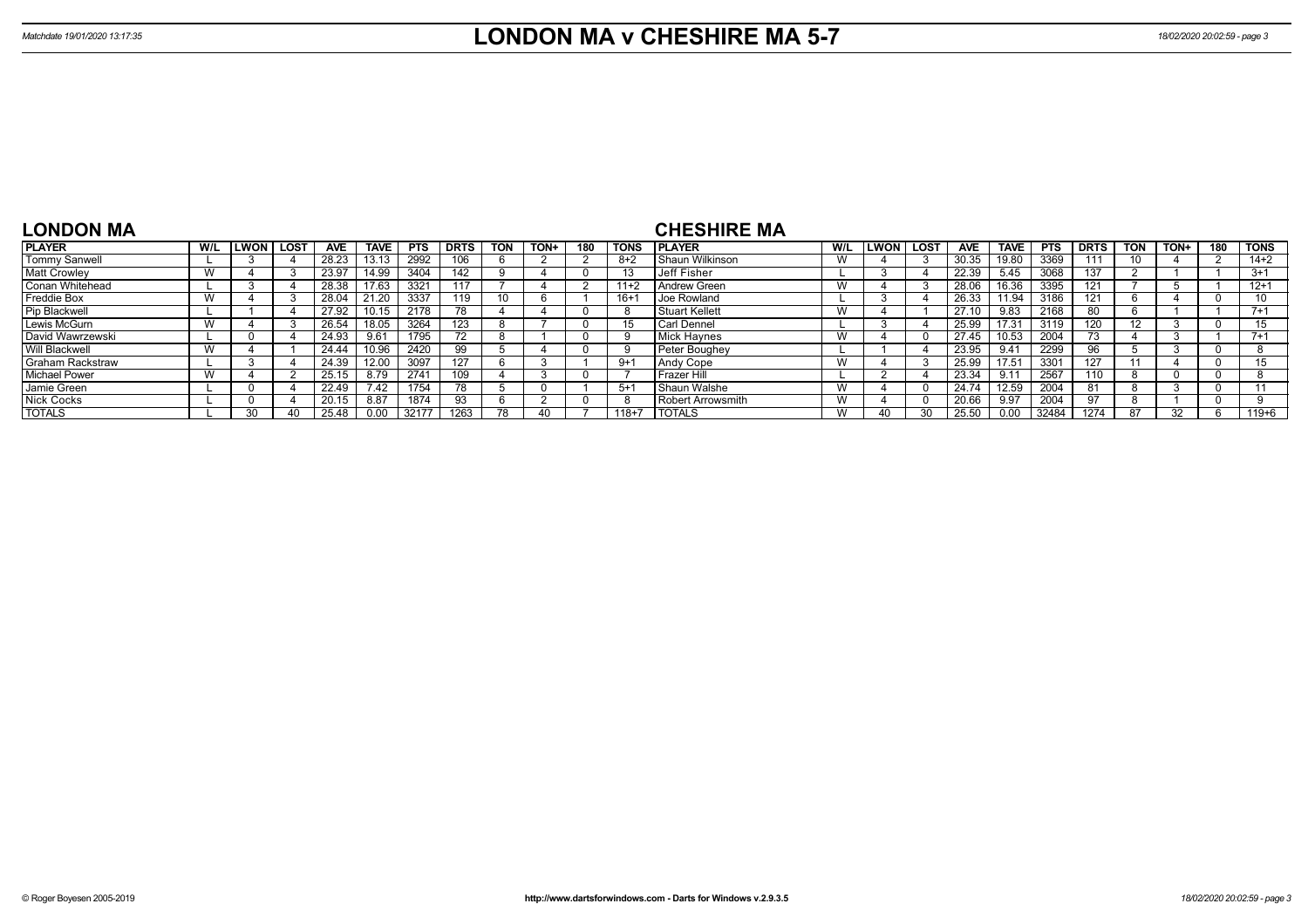| <b>LONDON MA</b>        |           |             |             |            |             |            |             |            |      |     |             | <b>CHESHIRE MA</b>   |                 |             |             |            |                 |            |                                 |                   |      |     |             |
|-------------------------|-----------|-------------|-------------|------------|-------------|------------|-------------|------------|------|-----|-------------|----------------------|-----------------|-------------|-------------|------------|-----------------|------------|---------------------------------|-------------------|------|-----|-------------|
| <b>PLAYER</b>           | W/L       | <b>LWON</b> | <b>LOST</b> | <b>AVE</b> | <b>TAVE</b> | <b>PTS</b> | <b>DRTS</b> | <b>TON</b> | TON+ | 180 | <b>TONS</b> | <b>IPLAYER</b>       | W/L             | <b>LWON</b> | <b>LOST</b> | <b>AVE</b> | <b>TAVE</b>     | <b>PTS</b> | <b>DRTS</b>                     | TON               | TON+ | 180 | <b>TONS</b> |
| Tommy Sanwell           |           |             |             | 28.23      | 13.13       | 2992       | 106         |            |      |     | $8+2$       | Shaun Wilkinson      |                 |             |             | 30.35      | 19.80           | 3369       |                                 | 10                |      |     | $14+2$      |
| <b>Matt Crowley</b>     | W         |             |             | 23.9       | 14.99       | 3404       | 142         |            |      |     |             | Jeff Fisher          |                 |             |             | 22.39      | 5.45            | 3068       | 137                             |                   |      |     | $3+1$       |
| Conan Whitehead         |           |             |             | 28.38      | 17.63       | 3321       |             |            |      |     | $11+2$      | Andrew Green         | <b>VV</b>       |             |             | 28.06      | 16.36           | 3395       | 121                             |                   |      |     | $12+1$      |
| Freddie Box             | <b>VV</b> |             |             | 28.04      | 21.20       | 3337       | 119         | 10         | n    |     | $16 +$      | <b>Joe Rowland</b>   |                 |             |             | 26.33      | $^{\circ}$ 1.94 | 3186       | 121                             | n                 |      |     | 10          |
| Pip Blackwell           |           |             |             | 27.92      | 10.15       | 2178       | 78          |            |      |     |             | Stuart Kellett       | $\lambda$<br>vv |             |             | 27.10      | 9.83            | 2168       | 80.                             | b                 |      |     | $7+1$       |
| Lewis McGurn            | W         |             |             | 26.54      | 18.05       | 3264       | 123         |            |      |     | 15          | Carl Dennel          |                 |             |             | 25.99      | 17.31           | 3119       | 120                             | $12 \overline{ }$ |      |     |             |
| David Wawrzewski        |           | -0          |             | 24.93      | 9.61        | 1795       |             |            |      |     |             | Mick Haynes          | v v             |             |             | 27.45      | 10.53           | 2004       | $\overline{\phantom{a}}$<br>73. |                   |      |     | $7+1$       |
| Will Blackwell          | W         |             |             | 24.44      | 10.96       | 2420       | 99          |            |      |     |             | Peter Boughey        |                 |             |             | 23.95      | 9.41            | 2299       | 96                              |                   |      |     |             |
| <b>Graham Rackstraw</b> |           |             |             | 24.39      | 12.00       | 3097       | 127         |            |      |     | $9+1$       | Andy Cope            | ٧V              |             |             | 25.99      | 17.51           | 3301       | 127                             |                   |      |     | 15          |
| <b>Michael Power</b>    | W         |             |             | 25.15      | 8.79        | 2741       | 109         |            |      |     |             | <b>I</b> Frazer Hill |                 |             |             | 23.34      | 9.11            | 2567       | $110 -$                         |                   |      |     |             |
| Jamie Green             |           |             |             | 22.49      | 7.42        | 1754       | 78          |            |      |     | $5+1$       | Shaun Walshe         | v v             |             |             | 24.74      | 12.59           | 2004       |                                 |                   |      |     |             |
| <b>Nick Cocks</b>       |           |             |             | 20.15      | 8.87        | 1874       | 93          |            |      |     |             | Robert Arrowsmith    |                 |             |             | 20.66      | 9.97            | 2004       |                                 |                   |      |     |             |
| <b>TOTALS</b>           |           | ٩O          |             |            | 0.00        | 32177      | 1263        |            |      |     | $118+7$     | <b>I TOTALS</b>      |                 |             |             | 25.50      | 0.0C            | 32484      | 1274                            | 87                |      |     | $119 + 6$   |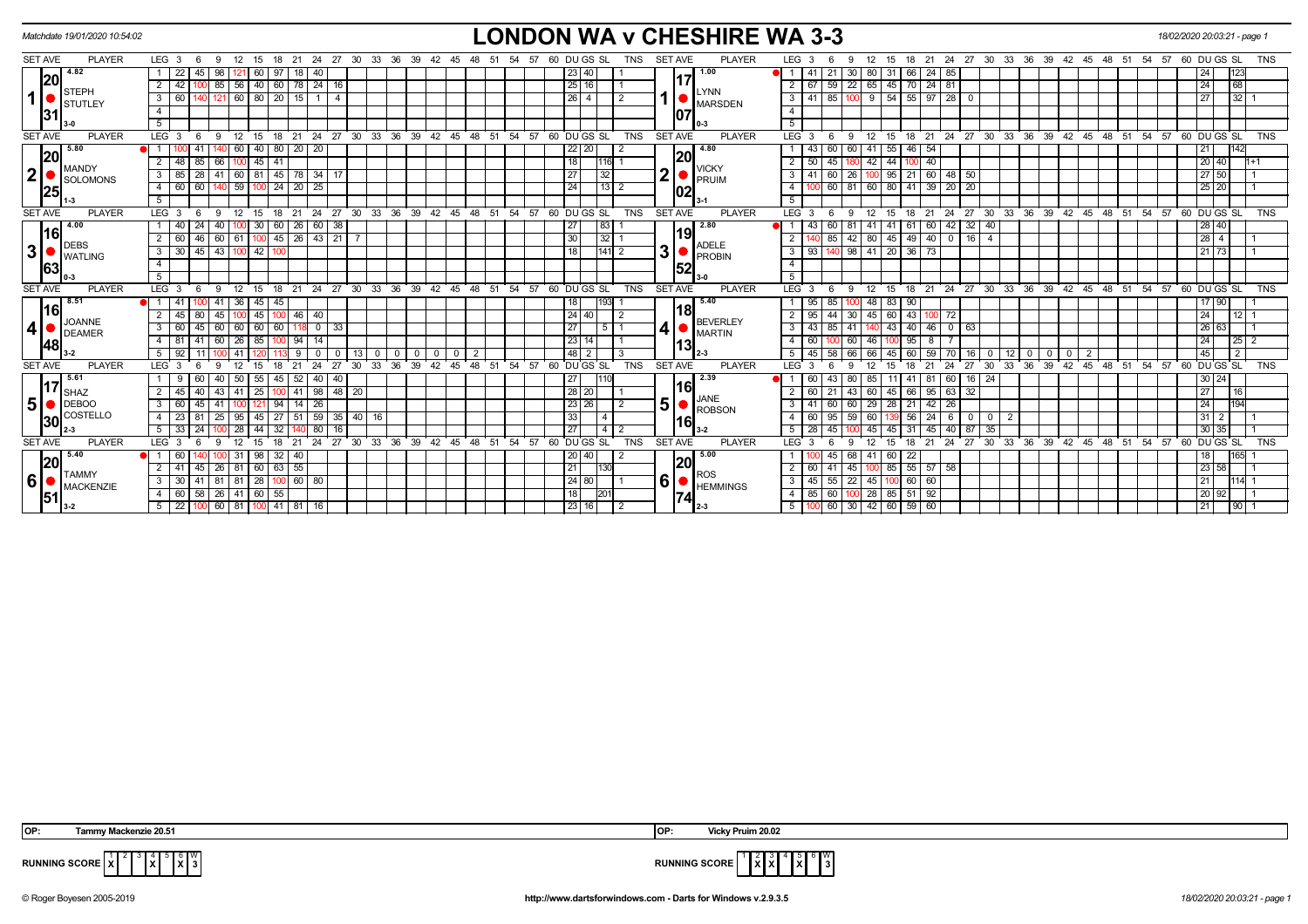|                                | Matchdate 19/01/2020 10:54:02 |                                                                                             | <b>LONDON WA v CHESHIRE WA 3-3</b>                                        |                                   |                                                                                                                  | 18/02/2020 20:03:21 - page 1                |
|--------------------------------|-------------------------------|---------------------------------------------------------------------------------------------|---------------------------------------------------------------------------|-----------------------------------|------------------------------------------------------------------------------------------------------------------|---------------------------------------------|
| <b>SET AVE</b>                 | <b>PLAYER</b>                 | LEG <sub>3</sub><br>33<br>21<br>24<br>-27<br>- 30                                           | 36<br>39<br>60 DU GS SL<br><b>TNS</b><br>42<br>45<br>-51<br>- 57<br>-54   | <b>PLAYER</b><br><b>SET AVE</b>   | 27 30<br>33<br>36<br>39<br>LEG <sub>3</sub><br>21<br>-24<br>42<br>48<br>15<br>18<br>45<br>-51                    | 60 DU GS SL<br>TNS<br>-54<br>57             |
|                                | 4.82                          | 98<br>22<br>97<br>45                                                                        | 23 40                                                                     | 1.00                              | $\vert$ 41<br>24<br>80<br>85<br>31                                                                               | 123                                         |
|                                | 20 <br><b>STEPH</b>           | 85   56   40   60   78   24   16<br>$\overline{2}$<br>42                                    | 25 16                                                                     | 17<br><b>LYNN</b>                 | 59 22 65 45 70 24 81<br>$2 \mid 67$                                                                              | 68<br>24                                    |
| 1                              | STUTLEY                       | $\mid 60 \mid 80 \mid 20 \mid 15 \mid$<br>60<br>121<br>$1 \mid 4$<br>$3^{\circ}$            | $26 \mid 4$                                                               | <b>MARSDEN</b>                    | 85   100   9   54   55   97   28   0<br>$3 \mid 41$                                                              | 32<br>27                                    |
|                                | 31                            | $\overline{4}$                                                                              |                                                                           | 107                               | $\overline{4}$                                                                                                   |                                             |
|                                |                               | 5                                                                                           |                                                                           |                                   | 5                                                                                                                |                                             |
| <b>SET AVE</b>                 | <b>PLAYER</b>                 | LEG <sub>3</sub><br>$24$ 27 30<br>9<br>$^{\circ}$ 12<br>- 15<br>18 21<br>- 6                | 33 36 39 42 45 48 51 54 57 60 DUGS SL<br><b>TNS</b>                       | <b>PLAYER</b><br><b>SET AVE</b>   | 18 21 24 27 30 33 36 39 42 45 48 51<br>LEG 3<br>12<br>- 6<br>- 9<br>15                                           | $54$ $57$ 60 DU GS SL<br><b>TNS</b>         |
|                                | 5.80<br> 20                   | 80 20 20<br>60<br> 40                                                                       | $22$   20<br>2                                                            | 4.80<br> 20                       | 60 60 41<br>$55$ 46 $54$<br>-43                                                                                  | 142<br>21                                   |
|                                | MANDY                         | 66<br>41<br>$\overline{2}$<br> 45 <br>48<br>85                                              | 18<br>116 1                                                               | <b>VICKY</b>                      | $2 \mid 50$<br>180 42<br>44 100 40<br>45                                                                         | $20$ 40<br>$1+1$                            |
|                                | SOLOMONS                      | 60   81   45   78   34   17<br>3<br>85<br>41<br> 28                                         | 27<br>32                                                                  | $\mathbf 2$<br>PRUIM              | $95$ 21 60 48 50<br>60 26 100<br>3   41                                                                          | 27 50                                       |
| $2\left  \frac{6}{25} \right $ |                               | 59 100 24 20 25<br>60 60<br>4 I<br>140                                                      | 24 <br> 13 2                                                              | 02                                | 60   81   60   80   41   39   20   20<br>4 I                                                                     | 25 20                                       |
|                                |                               | 5 <sup>5</sup>                                                                              |                                                                           |                                   | 5 <sup>7</sup>                                                                                                   |                                             |
| SET AVE                        | <b>PLAYER</b>                 | 24 27 30<br>LEG <sub>3</sub><br>12<br>15<br>18<br>21<br>-6<br>9                             | 33 36 39 42 45 48 51<br>54 57 60 DU GS SL<br>TNS                          | <b>SET AVE</b><br><b>PLAYER</b>   | 27 30 33 36 39 42 45 48 51 54 57 60 DUGS SL<br>LEG <sub>3</sub><br>24<br>12<br>15<br>18<br>21<br>-6<br>-9        | <b>TNS</b>                                  |
|                                | 4.00                          | $60$   26   60   38<br>40<br>l 30<br>40   24                                                | 27<br> 83                                                                 | 2.80                              | 42 32 40<br>60<br>43<br>-41<br>60<br>-41                                                                         | 28 40                                       |
|                                | <u> 16 </u><br>DEBS           | 00 45 26 43 21<br>2<br>60<br>60<br>61<br>46                                                 | 30<br>32                                                                  | 19                                | 42 80<br>45 49 40<br>85 I                                                                                        | $28 \mid 4$                                 |
| 3 <sup>1</sup>                 | <b>WATLING</b>                | 43   100   42  <br>$30 \mid 45$<br>$3^{\circ}$<br>100                                       | 18 I<br>1411 2                                                            | ADELE<br>PROBIN<br>3 <sup>1</sup> | 0 98 41 20 36 73<br>3   93                                                                                       | 21 73                                       |
| 63                             |                               | $\overline{4}$                                                                              |                                                                           | 52                                | $\overline{4}$                                                                                                   |                                             |
|                                |                               | 5                                                                                           |                                                                           |                                   | 5                                                                                                                |                                             |
| <b>SET AVE</b>                 | <b>PLAYER</b>                 | LEG <sub>3</sub><br>$33^{\circ}$<br>24<br>27<br>30<br>12<br>18<br>21                        | 36<br>ີ 39<br>48<br>54<br>60 DUGS SL<br><b>TNS</b><br>42 45<br>51<br>57   | <b>PLAYER</b><br><b>SET AVE</b>   | $33 \t36 \t39$<br>LEG <sup>'</sup><br>$27 \cdot 30$<br>42 45 48 51<br>$^{\circ}$ 24<br>15<br>18<br>21            | 54<br>57<br>60 DU GS SL<br><b>TNS</b>       |
|                                | 8.51                          | 41<br>36<br>45<br>45                                                                        | 18<br>1931                                                                | 5.40                              | 1   95<br>48<br>83   90                                                                                          | $90^{\circ}$                                |
|                                | <u> 16 </u><br>JOANNE         | 45<br>46<br>$\overline{2}$<br>45<br>40                                                      | 24   40                                                                   | 18<br><b>BEVERLEY</b>             | $2 \mid 95$<br>60 43<br>45<br>100<br>72                                                                          | 12<br>24                                    |
| $\vert 4 \vert$                | <b>DEAMER</b>                 | 60<br>60<br>$0 \mid 33$<br>$\mathbf{3}$<br>60<br>60<br>60<br>45                             | 27                                                                        | 41<br><b>MARTIN</b>               | 46<br>$0 \mid 63$<br>$3 \mid 43$<br>43   40  <br>85                                                              | 26<br>63                                    |
|                                | 48                            | 60<br>26<br>$\overline{4}$<br>81<br>100 94 I<br>  85  <br>14                                | 23 14                                                                     | 13                                | $4 \mid 60$<br>46<br>8<br>95 I                                                                                   | 25<br>24                                    |
|                                |                               | 5<br>92                                                                                     | $48$   2<br>$\Omega$<br>$\Omega$                                          | 2-3                               | 45<br>59<br>66<br>$12 \overline{ }$<br>$\Omega$<br>$^{\circ}$<br>0                                               | $\overline{2}$<br>45                        |
| <b>SET AVE</b>                 | <b>PLAYER</b>                 | LEG <sub>3</sub><br>24<br>27<br>30<br>33<br>q<br>12<br>15<br>18<br>21                       | 48<br>51<br>54<br>60 DU GS SL<br><b>TNS</b><br>36<br>39<br>42<br>45<br>57 | <b>SET AVE</b><br><b>PLAYER</b>   | 36<br>39<br>42<br>45 48 51<br>LEG <sub>3</sub><br>24<br>27<br>30<br>33<br>۹<br>12 <sup>2</sup><br>18<br>21<br>15 | DU GS SL<br>54<br>57<br>$60^{\circ}$<br>TNS |
|                                | 5.61<br>117                   | 40<br>50<br>45 I<br>52  <br>40 40<br>55                                                     | 27 I                                                                      | 2.39                              | 60<br>85<br>81<br>60   16   24<br>43<br>11   41                                                                  | 30 24                                       |
|                                | <b>SHAZ</b>                   | $98 \mid 48$<br>43<br>2<br>$25 \mid$<br>20<br>-41                                           | 28 20                                                                     | 16<br><b>JANE</b>                 | $2 \mid 60$<br>95<br>43 60<br>45 66<br>63 32                                                                     | 27<br> 16                                   |
| 5                              | $\bigcirc$ DEBOO              | 3 <sup>1</sup><br>94<br>$14$ 26<br>41<br>60<br>45                                           | 23 26 <br>$\overline{2}$                                                  | 5 <sup>1</sup><br><b>ROBSON</b>   | 29<br>28 21 42<br>26<br>3   41<br>60 I                                                                           | $\overline{24}$<br>194                      |
|                                | COSTELLO<br> 30               | $-4$<br>23 81<br>25 <sub>1</sub><br>$45 \mid 27$<br>$59 \overline{35}$<br>51<br>40 16<br>95 | 33<br>$\overline{4}$                                                      | 16                                | $4 \mid 60$<br>59 60<br>$56$ 24<br>6<br>$\mathbf{0}$<br>$\overline{2}$<br>95<br>I 0                              | $31 \mid 2$                                 |
|                                |                               | $5\sqrt{5}$<br>$33 \mid 24$<br>$28 \mid 44 \mid$<br>32<br>80<br>16                          | 27<br>$14$ 2                                                              | $3-2$                             | 45 31 45 40 87 35<br>$5 \mid 28$<br>45 I<br>45                                                                   | $30 \ 35$                                   |
| <b>SET AVE</b>                 | <b>PLAYER</b>                 | LEG <sub>3</sub><br>24<br>33<br>12<br>18<br>21<br>27<br>- 30                                | DU GS SL<br>36<br>39 42 45<br>48<br>54<br><b>TNS</b><br>51<br>57<br>60    | <b>SET AVE</b><br><b>PLAYER</b>   | LEG <sup>'</sup><br>24<br>27<br>30<br>ີ 33<br>36 39<br>42 45 48<br>21<br>51                                      | DU GS SL<br>54<br><b>TNS</b><br>57<br>60    |
|                                | 5.40<br> 20                   | 32<br>60<br>  98  <br>-31<br>40                                                             | 20 40                                                                     | 5.00<br> 20                       | 60 22<br>68   41<br>45                                                                                           | 165<br>18 I                                 |
|                                | <b>TAMMY</b>                  | 26   81   60   63   55  <br>41<br>  45                                                      | 21                                                                        | <b>ROS</b>                        | 85 55 57 58<br>$2 \mid 60$<br>$45 \mid 100$<br>41                                                                | 23 58                                       |
| 6                              | MACKENZIE                     | 3 <sup>1</sup><br>$30 \quad 41$<br>81 81 28<br>$100$ 60 80                                  | 24 80                                                                     | [6 ⊍<br><b>HEMMINGS</b>           | $3 \mid 45$<br>55 22 45<br>$100 \ 60 \ 60$                                                                       | 21<br>114                                   |
|                                | 51                            | 60 58<br>26 41 60 55<br>4                                                                   | 18<br>$20^{\circ}$                                                        | 74                                | 60 100 28<br>85 51 92<br>$4 \mid 85$                                                                             | 20 92                                       |
|                                |                               | $5 \mid 22 \mid$<br>60   81   100   41   81   16                                            | 23 16                                                                     |                                   | $5 \mid 100$<br>60 30 42 60 59 60                                                                                | 90<br>21                                    |

 **OP: Tammy Mackenzie 20.51 OP: Vicky Pruim 20.02**

 3 4 **X** 6 **X** W



**RUNNING SCORE**  $\overline{X}$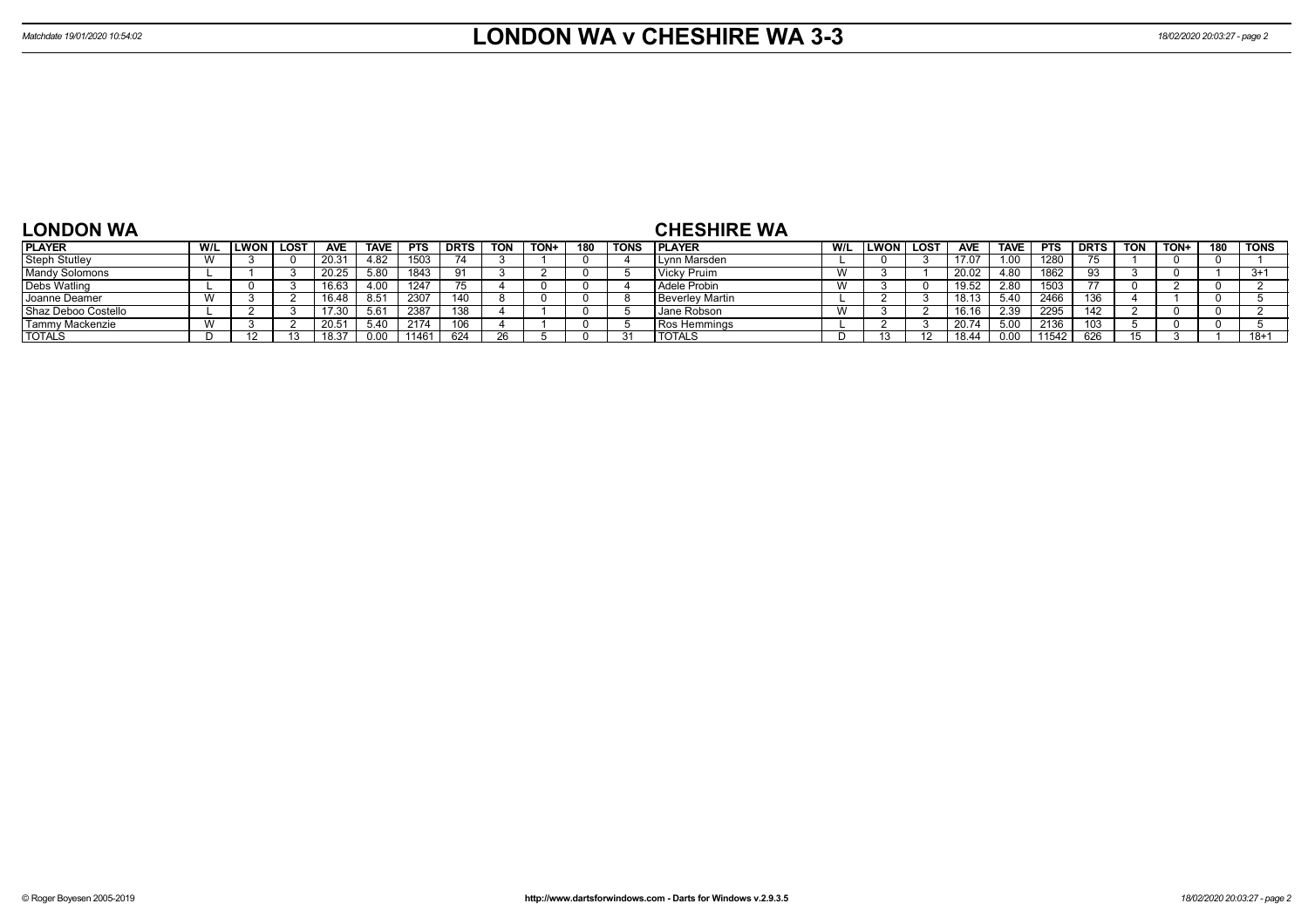| <b>LONDON WA</b>     |              |              |      |            |             |            |             |            |      |     |             | <b>CHESHIRE WA</b> |     |             |                   |            |                        |            |             |     |      |     |             |
|----------------------|--------------|--------------|------|------------|-------------|------------|-------------|------------|------|-----|-------------|--------------------|-----|-------------|-------------------|------------|------------------------|------------|-------------|-----|------|-----|-------------|
| <b>PLAYER</b>        | W/L          | <b>ILWON</b> | LOST | <b>AVE</b> | <b>TAVE</b> | <b>PTS</b> | <b>DRTS</b> | <b>TON</b> | TON+ | 180 | <b>TONS</b> | <b>IPLAYER</b>     | W/L | <b>LWON</b> | LOST <sup>'</sup> | <b>AVE</b> | <b>TAVE</b>            | <b>DTC</b> | <b>DRTS</b> | TON | TON+ | 180 | <b>TONS</b> |
| <b>Steph Stutley</b> | $\mathbf{M}$ |              |      | 20.31      | 4.82        | 1503       |             |            |      |     |             | Lynn Marsden       |     |             |                   | 17.07      |                        | 1280       |             |     |      |     |             |
| Mandy Solomons       |              |              |      | 20.25      | 5.80        | 1843       | $^{\circ}$  |            |      |     |             | / Pruim<br>Vicky . |     |             |                   | 20.02      | $\overline{A}$<br>4.OU | 1862       |             |     |      |     | $3+1$       |

| <b>Steph</b> Stuttey  | V V |  | <b>ZU.JI</b> | 4.OZ | טטטו  |     |  |  | I LVIIII Maisuell   |  | 11.V  | 1.UU | 140U  |     |  |          |
|-----------------------|-----|--|--------------|------|-------|-----|--|--|---------------------|--|-------|------|-------|-----|--|----------|
| <b>Mandy Solomons</b> |     |  | 20.25        | 5.80 | 1843  |     |  |  | Vicky Pruim         |  | 20.02 | 4.80 | 1862  | 02  |  | $3+1$    |
| Debs Watling          |     |  | 16.63        | 4.00 | 1247  |     |  |  | Adele Probin        |  | 19.52 | 2.8C | 1503  |     |  |          |
| Joanne Deamer         |     |  | 16.48        | 8.51 | 2307  | 140 |  |  | l Beverlev Martin   |  | 18.13 | 5.40 | 2466  | 136 |  |          |
| Shaz Deboo Costello   |     |  | 17.30        | 5.61 | 2387  | 138 |  |  | Jane Robson         |  | 16.16 | 2.39 | 2295  | 142 |  |          |
| Tammy Mackenzie       |     |  | 20.51        | 5.40 | 2174  | 106 |  |  | <b>Ros Hemmings</b> |  | 20.74 | 5.00 | 2136  |     |  |          |
| <b>TOTALS</b>         |     |  | 18.37        | 0.00 | 11461 | 624 |  |  | <b>TOTALS</b>       |  | 18.44 | 0.00 | 11542 | 626 |  | $18 + 1$ |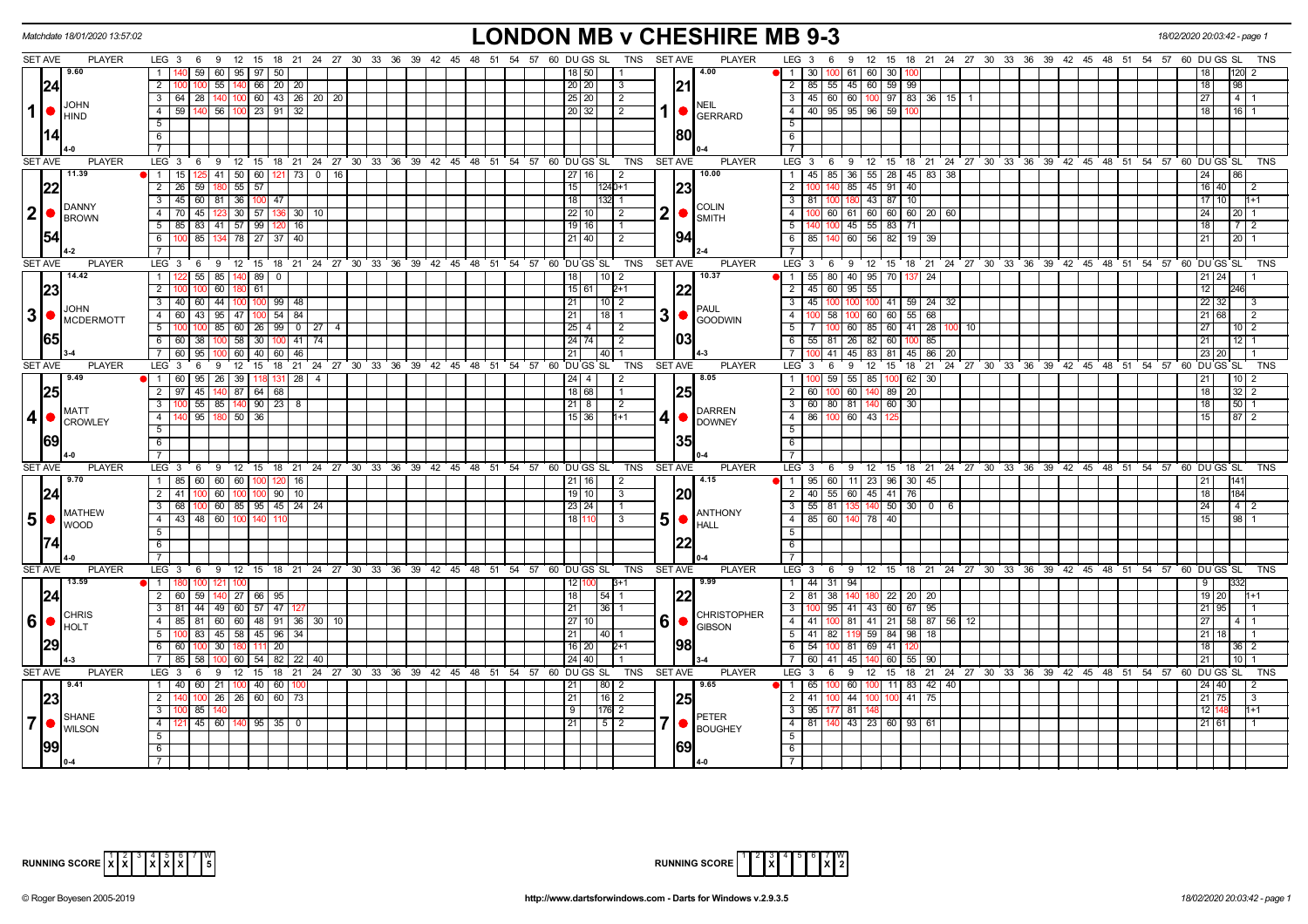|                 | Matchdate 18/01/2020 13:57:02                                             | <b>LONDON MB v CHESHIRE MB 9-3</b>                                                                                                                     | 18/02/2020 20:03:42 - page                                                                                      |
|-----------------|---------------------------------------------------------------------------|--------------------------------------------------------------------------------------------------------------------------------------------------------|-----------------------------------------------------------------------------------------------------------------|
| <b>SET AVE</b>  | <b>PLAYER</b>                                                             | TNS SET AVE<br><b>PLAYER</b><br>LEG 3 6 9 12 15 18 21 24 27 30 33 36 39 42 45 48 51 54 57 60 DUGS SL                                                   | LEG 3 6 9 12 15 18 21 24 27 30 33 36 39 42 45 48 51 54 57<br>60 DU GS SL<br>TNS                                 |
|                 | 19.60                                                                     | $\overline{59}$ 60 $\overline{95}$ $\overline{97}$ $\overline{)50}$<br>4.00<br>$\mathbf{1}$<br>18 I 50 I                                               | NI 1 I 30 I<br> 61 60 30                                                                                        |
|                 | 24                                                                        | 21<br>$\overline{2}$<br>55   140   66   20   20  <br>100<br>20   20  <br>3                                                                             | 2   85   55   45   60   59   99                                                                                 |
|                 |                                                                           | $100 \ 60 \ 43 \ 26 \ 20 \ 20$<br>3 64 28 140<br>25 20 <br>$\sqrt{2}$                                                                                  | $3   45   60   60   100   97   83   36   151$<br>$\overline{27}$<br>$\overline{4}$                              |
| 1               | <b>JOHN</b><br>lo<br><b>HIND</b>                                          | <b>NEIL</b><br>140 56 100 23 91<br>$4 \mid 59 \mid$<br>20 32 <br>32<br>$\vert 2 \vert$<br><b>GERRARD</b>                                               | 4 40 95 95 96 59 7<br>$16$   1<br>18                                                                            |
|                 |                                                                           | 5                                                                                                                                                      | 5                                                                                                               |
|                 |                                                                           | 180<br>6                                                                                                                                               | 6                                                                                                               |
|                 |                                                                           |                                                                                                                                                        | $\overline{7}$                                                                                                  |
| <b>SET AVE</b>  | <b>PLAYER</b>                                                             | LEG <sup>3</sup><br>12 15 18 21 24 27 30 33 36 39 42 45 48 51 54 57 60 DUGS SL<br><b>TNS</b><br><b>SET AVE</b><br><b>PLAYER</b><br>69                  | LEG 3<br>6 9 12 15 18 21 24 27 30 33 36 39 42 45 48 51 54 57 60 DUGS SL<br>TNS                                  |
|                 | 11.39                                                                     | 10.00<br>1   15   125   41   50   60   121   73   0   16<br>27   16  <br>l 2                                                                           | 1   45   85   36   55   28   45   83   38  <br>24<br>86                                                         |
|                 | 22                                                                        | 23<br>$2 \mid 26 \mid$<br>59<br>$55 \mid 57$<br>15<br>18 <sup>c</sup><br>$1240+1$                                                                      | 140 85 45 91 40<br>$\overline{2}$<br>16 40<br>$\vert$ 2                                                         |
|                 |                                                                           | $\overline{\mathbf{3}}$<br>45 60 81 36 100 47<br>18<br>132 1                                                                                           | $3$   81   100   180   43   87   10  <br>17110<br>$1 + 1$                                                       |
|                 | DANNY<br>$ 2  \bullet  _{\text{BROWN}}^{\text{DANNY}}$                    | <b>COLIN</b><br>$2  \bullet  $<br>4 70 45 123<br>30 57 136<br>$22$ 10<br>30   10<br>l 2<br><b>SMITH</b>                                                | 100 60 61 60 60 60 20 60<br>4 <sup>1</sup><br>24<br>201                                                         |
|                 |                                                                           | 5   85   83   41   57   99<br>16 I<br>$19$   16                                                                                                        | $5 \n\overline{\phantom{a}}$<br>140   100   45   55   83   71<br>18 <sup>1</sup>                                |
|                 | l54l                                                                      | 85<br>6<br>78 27 37<br>40<br>21 40 1                                                                                                                   | $6 \mid 85$<br>140 60 56<br>82 19                                                                               |
|                 |                                                                           |                                                                                                                                                        | $\overline{7}$                                                                                                  |
| <b>SET AVE</b>  | <b>PLAYER</b>                                                             | LEG <sub>3</sub><br>$12 \quad 15$<br>18 21 24 27 30 33 36 39 42 45 48 51 54 57 60 DUGS SL<br><b>TNS</b><br><b>SET AVE</b><br><b>PLAYER</b><br>- 6<br>9 | LEG <sup>3</sup><br>9 °<br>12<br>15 18 21 24 27 30 33 36 39 42 45 48 51 54 57<br>60 DU GS SL<br><b>TNS</b><br>6 |
|                 | 14.42                                                                     | 55   85<br>10.37<br>$\overline{1}$<br>$140$ 89 0<br>18<br>102                                                                                          | 1   55   80   40   95   70   137  <br>24<br>$21 \overline{24}$                                                  |
|                 | 23                                                                        | 60<br> 22<br>$2^{\circ}$<br>61<br>$15 61 $ 2+1<br>100                                                                                                  | 2 45 60 95 55<br>12                                                                                             |
|                 | <b>JOHN</b>                                                               | $3   40   60   44   100   100   99   48$<br>21<br>102<br><b>PAUL</b>                                                                                   | $3   45   100   100   100   41   59   24   32$<br>$22 \overline{)32}$<br>3                                      |
|                 | $3$ $\bullet$ $\blacksquare$ $\blacksquare$ $\blacksquare$ $\blacksquare$ | 3 •<br>60 43 95<br>47   100   54   84<br>$\overline{4}$<br>21<br>$118$ 1<br><b>GOODWIN</b>                                                             | $\overline{4}$<br>58 100 60<br>60 55 68<br>$21$ 68<br>2                                                         |
|                 |                                                                           | 5<br>85<br>60 26 99 0 27<br>$25 \mid 4 \mid$<br>$\overline{2}$                                                                                         | 5<br>60 85 60 41 28<br>27<br>$10\overline{2}$<br>$\overline{7}$<br>10                                           |
|                 | 65                                                                        | 103<br>6 60 38<br>$58$ 30 100<br>$41 \overline{74}$<br>$24 74 $<br>10 <sup>c</sup><br>l 2                                                              | 6 55 81 26 82 60 100 85<br>$12$   1<br>21                                                                       |
|                 |                                                                           | $\overline{7}$<br>60<br>95<br>60 40 60<br>46<br>21<br>140 I 1                                                                                          | $\overline{7}$<br>41 45 83 81 45 86<br>23 20<br>-20                                                             |
| <b>SET AVE</b>  | <b>PLAYER</b>                                                             | <b>PLAYER</b><br>LEG <sub>3</sub><br>$12 \quad 15$<br><b>TNS</b><br><b>SET AVE</b><br>6<br>9                                                           | LEG <sup>3</sup><br>12<br>15 18 21 24 27 30 33 36 39 42 45 48 51 54 57<br>60 DU GS SL<br>6<br>TNS<br>9          |
|                 | 9.49                                                                      | 39 118<br>$28 \mid 4$<br>8.05<br>1 60<br>$95 \mid 26 \mid$<br>24<br>  4                                                                                | 59 55 85<br>$1 \vert$<br>$100$ 62<br>30                                                                         |
|                 | 25                                                                        | 25<br>$\overline{2}$<br>45 140<br>18 68<br>87 64 68<br>97l                                                                                             | 2   60  <br>100 60 140 89 20<br>32<br>18                                                                        |
|                 | <b>IMATT</b>                                                              | $\overline{\mathbf{3}}$<br>$55 \mid 85 \mid 140 \mid 90 \mid 23 \mid 8$<br>$21 \mid 8$<br>$\sqrt{2}$<br><b>DARREN</b>                                  | 3 60 80 81 140 60 30<br>$\overline{18}$<br>50                                                                   |
| 4 <sup>1</sup>  | <b>CROWLEY</b>                                                            | 951180<br>$\overline{4}$<br>$50 \mid 36$<br>$15$ 36<br>4∣●<br>$1+1$<br><b>DOWNEY</b>                                                                   | 4   86   100   60   43<br>$87$ 2<br>15                                                                          |
|                 |                                                                           | $\overline{5}$                                                                                                                                         | 5                                                                                                               |
|                 | 69                                                                        | 35<br>$\overline{6}$                                                                                                                                   | 6                                                                                                               |
|                 |                                                                           | $\overline{7}$                                                                                                                                         | $\overline{7}$                                                                                                  |
| <b>SET AVE</b>  | <b>PLAYER</b><br>9.70                                                     | <b>PLAYER</b><br>LEG <sub>3</sub><br>12 15 18 21 24 27 30 33 36 39 42 45 48 51 54 57 60 DUGS SL<br><b>TNS</b><br><b>SET AVE</b><br>69<br>4.15          | LEG <sub>3</sub><br>6 9 12 15 18 21 24 27 30 33 36 39 42 45 48 51 54 57 60 DUGS SL<br><b>TNS</b>                |
|                 |                                                                           | 1 85 60 60 60 100 120<br>16<br>$21 16 $<br>$\sqrt{2}$<br>$100$ 60<br>$100$ $100$ $90$<br>$2 \mid 41 \mid$<br>10                                        | 1   95   60   11   23   96   30   45  <br>141<br>21<br>2 40 55 60 45 41 76<br>18<br>184                         |
|                 | 24                                                                        | 20<br>19 10 <br>$\sqrt{3}$<br>$3   68   100   60   85   95   45   24   24$<br>23 24 <br>l 1                                                            | $3$ 55 81 135 140 50 30 0 6<br>24                                                                               |
| 5  <sub>o</sub> | <b>MATHEW</b>                                                             | <b>ANTHONY</b><br>4 43 48 60 100 140<br>18 110<br>l 3                                                                                                  | 4   85   60   140   78   40  <br>$98 \t1$<br>15 <sup>1</sup>                                                    |
|                 | <b>I</b> WOOD                                                             | <b>HALL</b><br>5                                                                                                                                       | 5                                                                                                               |
|                 |                                                                           | 6                                                                                                                                                      | 6                                                                                                               |
|                 |                                                                           | $\overline{7}$                                                                                                                                         | $\overline{7}$                                                                                                  |
| <b>SET AVE</b>  | <b>PLAYER</b>                                                             | 9 12 15 18 21 24 27 30 33 36 39 42 45 48 51 54 57 60 DUGSSL<br><b>PLAYER</b><br>$LEG_3$ 6<br>TNS<br><b>SET AVE</b>                                     | 6 9 12 15 18 21 24 27 30 33 36 39 42 45 48 51 54 57 60 DUGSSL<br>LEG 3<br><b>TNS</b>                            |
|                 | 13.59                                                                     | 9.99<br>$1 180$<br>12 100<br>100 121<br>100 <sup>1</sup><br>$3+1$                                                                                      | 1 44 31 94<br>9                                                                                                 |
|                 | 24                                                                        | 22<br>27   66   95<br>2 60 59<br>18<br>$\overline{54}$ 1<br>140                                                                                        | 2   81   38   140   180   22   20   20<br>$19$ 20<br>$1+1$                                                      |
|                 |                                                                           | 3 81 44 49 60 57 47 127<br>21<br> 36 1                                                                                                                 | 100 95 41 43 60 67 95<br>3<br>21   95                                                                           |
|                 | <b>CHRIS</b><br>$6 \cdot \text{F}$                                        | <b>CHRISTOPHER</b><br>$6 \nvert \nvert$ Gibson<br>$\overline{4}$<br>85 81 60 60 48 91 36 30 10<br>27                                                   | 4 41 100 81 41 21 58 87 56 12<br>27                                                                             |
|                 |                                                                           | 83 45 58 45 96 34<br>$5\overline{)}$<br>21<br> 40 1                                                                                                    | $5$   41   82   119 59   84   98  <br>18<br>$21 \ 18$                                                           |
|                 | 29                                                                        | 198<br>30<br>6 60<br>100<br>180 111 20<br>$16$   20  <br>$2+1$                                                                                         | $6 \mid 54$<br>100 81 69 41<br>18<br>36 2                                                                       |
|                 |                                                                           | 7   85  <br>58<br>60   54   82  <br>  24   40  <br>22   40                                                                                             | 7   60  <br>41   45  <br>60 55<br>21<br>90                                                                      |
| <b>SET AVE</b>  | <b>PLAYER</b>                                                             | $LEG_36$<br><b>PLAYER</b><br>9 12 15 18 21 24 27 30 33 36 39 42 45 48 51 54 57 60 DUGS SL<br>TNS<br><b>SET AVE</b>                                     | LEG 3<br>9 12 15 18 21 24 27 30 33 36 39 42 45 48 51 54 57 60 DUGSSL TNS<br>6                                   |
|                 | 19.41                                                                     | $1 \overline{40}$<br>60   21   100   40   60  <br>9.65<br>  80   2                                                                                     | 60 100<br>11 83 42 40<br>1 65<br>24 40                                                                          |
|                 | 23                                                                        | $\frac{100}{26}$ $\frac{26}{60}$ $\frac{60}{60}$ $\frac{73}{73}$<br> 25<br>2 140<br>21<br>$16$   2                                                     | $2$   41  <br>100 44 100<br>100 41 75<br>$21$ 75<br>3                                                           |
|                 |                                                                           | 3<br>85<br>-9 I<br><b>176 2</b>                                                                                                                        | $3$   95   177   81<br>12 148<br>$1+1$                                                                          |
| $\overline{7}$  | SHANE<br><b>WILSON</b>                                                    | <b>PETER</b><br>$45 \ 60 \ 140 \ 95 \ 35 \ 0$<br>4<br>$\sqrt{5}$ 2<br>21<br><b>BOUGHEY</b>                                                             | 4   81   140   43   23   60   93   61<br>$21 \ 61$                                                              |
|                 |                                                                           | 5                                                                                                                                                      | 5                                                                                                               |
|                 | 1991                                                                      | 69<br>6                                                                                                                                                | 6                                                                                                               |
|                 |                                                                           | $\overline{7}$                                                                                                                                         | 7                                                                                                               |



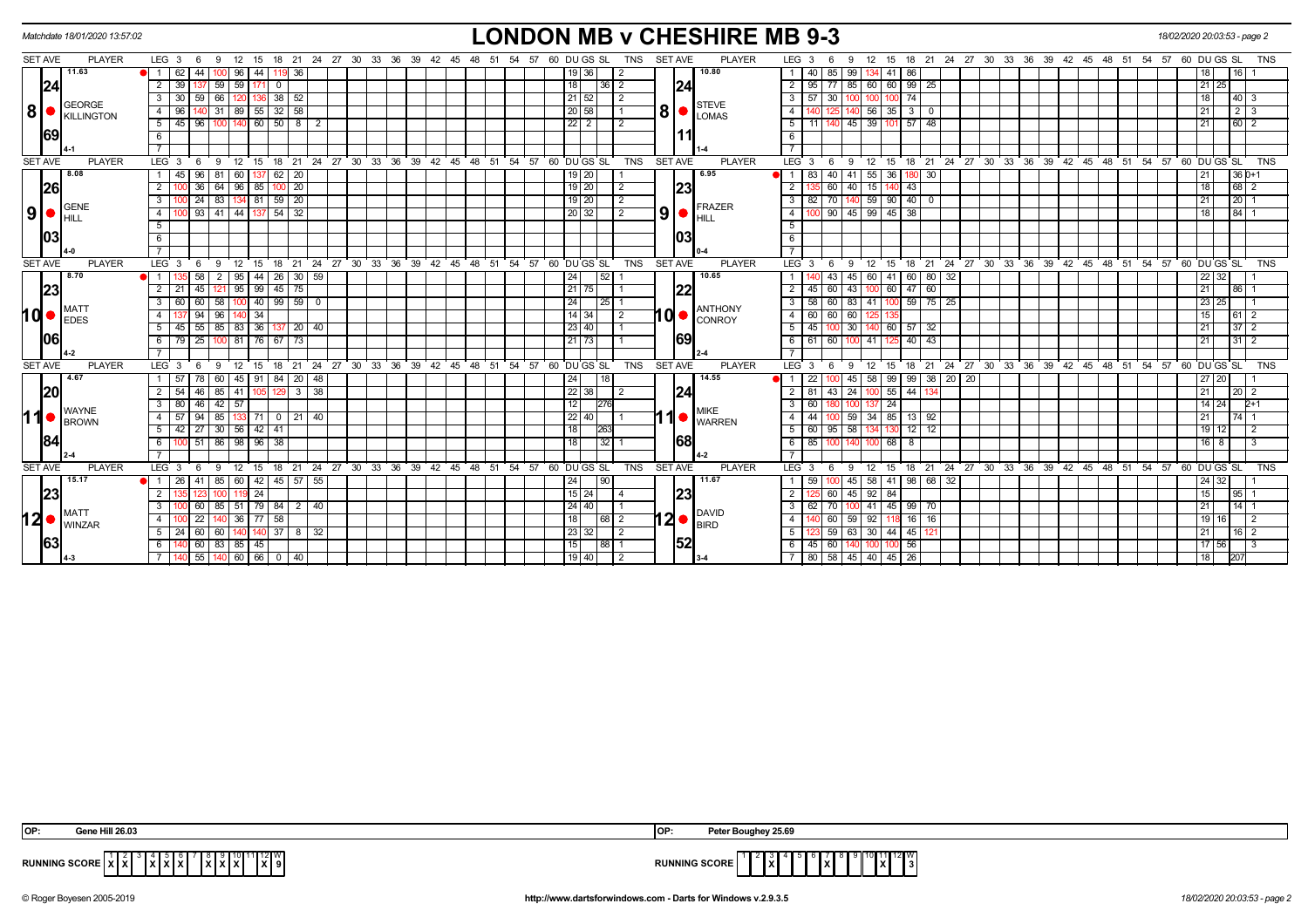|                | Matchdate 18/01/2020 13:57:02 |                                           |                |                      |                                                                       |  |                   |    |                      |                 |                | <b>LONDON MB v CHESHIRE MB 9-3</b>                                             |                                 |                    |                 |                 |                |                        |  |  |  |                                                            |                    | 18/02/2020 20:03:53 - page 2 |
|----------------|-------------------------------|-------------------------------------------|----------------|----------------------|-----------------------------------------------------------------------|--|-------------------|----|----------------------|-----------------|----------------|--------------------------------------------------------------------------------|---------------------------------|--------------------|-----------------|-----------------|----------------|------------------------|--|--|--|------------------------------------------------------------|--------------------|------------------------------|
| <b>SET AVE</b> | <b>PLAYER</b>                 | $LEG_36$<br>12 15<br>9                    |                |                      | 18  21  24  27  30  33  36  39  42  45  48  51  54  57  60  DU GS  SL |  |                   |    |                      | TNS             | <b>SET AVE</b> | <b>PLAYER</b>                                                                  | LEG <sub>3</sub>                | - 6<br>9           |                 |                 |                |                        |  |  |  | 12 15 18 21 24 27 30 33 36 39 42 45 48 51 54 57 60 DUGS SL |                    | <b>TNS</b>                   |
|                | 11.63                         | 44<br>$\blacksquare$<br>62<br>96 I        | 44             | 36                   |                                                                       |  |                   |    | 19   36              |                 |                | 10.80                                                                          | 40                              | 85<br>99           | 134             | 41<br>86        |                |                        |  |  |  |                                                            |                    |                              |
|                | 24                            | 59   59<br>$\overline{2}$<br>39           | - 0<br>171     |                      |                                                                       |  |                   | 18 | 1361                 | -2              |                | 24                                                                             | 95                              | 85                 | 60              | 60 99 25        |                |                        |  |  |  |                                                            | $21 \overline{25}$ |                              |
|                |                               | 66   120   136   38   52<br>59<br>30<br>3 |                |                      |                                                                       |  |                   |    | $21 \,   \, 52 \,  $ |                 |                |                                                                                | 57                              | 30                 | 100             | 100 74          |                |                        |  |  |  |                                                            | 18                 | $40 \overline{\smash{)}3}$   |
| ∣8I            | <b>GEORGE</b><br>KILLINGTON   | 4<br>31<br>  89  <br>96                   | 32<br>55       | 58                   |                                                                       |  |                   |    | 20 58                |                 |                | STEVE<br>$8$ $\bullet$ $\frac{1}{2}$ $\frac{1}{2}$ $\frac{1}{2}$ $\frac{1}{2}$ |                                 |                    | 56              | 35 I            | 0              |                        |  |  |  |                                                            | 21                 | $\overline{2}$               |
|                |                               | $100$ 140 60 50 8<br>5<br>45   96         |                | 2                    |                                                                       |  |                   |    | $22$   2             | $\overline{2}$  |                |                                                                                | 5<br>11 I                       | $145$ 39           |                 | $101$ 57 48     |                |                        |  |  |  |                                                            | 21                 | $60$ 2                       |
|                | 69                            |                                           |                |                      |                                                                       |  |                   |    |                      |                 |                |                                                                                |                                 |                    |                 |                 |                |                        |  |  |  |                                                            |                    |                              |
|                |                               |                                           |                |                      |                                                                       |  |                   |    |                      |                 |                |                                                                                | $\overline{7}$                  |                    |                 |                 |                |                        |  |  |  |                                                            |                    |                              |
| <b>SET AVE</b> | <b>PLAYER</b>                 | LEG <sub>3</sub><br>$12$ 15<br>- 6<br>9   | $18$ 21        |                      | 24 27 30 33 36 39 42 45 48 51 54 57 60 DUGS SL                        |  |                   |    |                      | <b>TNS</b>      | <b>SET AVE</b> | <b>PLAYER</b>                                                                  | $LEG$ 3                         | 6<br>΄9.           | 12 15           |                 |                |                        |  |  |  | 18 21 24 27 30 33 36 39 42 45 48 51 54 57 60 DUGS SL       |                    | <b>TNS</b>                   |
|                | 8.08                          | 45 96<br>81<br>60<br>$\overline{1}$       | 62<br>137      | $\sqrt{20}$          |                                                                       |  |                   |    | $19$ 20              |                 |                | 6.95                                                                           | 83                              | 40<br>41 55        |                 | 36              | 180 30         |                        |  |  |  |                                                            | 21                 | $36D+1$                      |
|                | 26                            | 36<br>$64$   96   85                      | $100 \mid 20$  |                      |                                                                       |  |                   |    | $19$   20            | 2               |                | 23                                                                             | $\overline{2}$                  | 60<br>40           | 15              | 43              |                |                        |  |  |  |                                                            | 18                 | 68 2                         |
|                | GENE                          | 24<br>83<br>-3                            | 59<br>  81     | $\sqrt{20}$          |                                                                       |  |                   |    | $19$   20            |                 |                | $\overline{\phantom{a}}$ FRAZER                                                | 82                              | 70                 | 59              | 90 40           | 0              |                        |  |  |  |                                                            | 21                 | 20                           |
| 9              | <b>HILL</b>                   | 0 93 41 44 137 54 32<br>4                 |                |                      |                                                                       |  |                   |    | 20 32                | 2               | 9              | $\blacksquare$                                                                 | 4                               | 100 90 45 99 45 38 |                 |                 |                |                        |  |  |  |                                                            | 18                 | $84$ 1                       |
|                |                               | 5                                         |                |                      |                                                                       |  |                   |    |                      |                 |                |                                                                                | -5                              |                    |                 |                 |                |                        |  |  |  |                                                            |                    |                              |
|                | 03                            | 6                                         |                |                      |                                                                       |  |                   |    |                      |                 |                | 103                                                                            | 6                               |                    |                 |                 |                |                        |  |  |  |                                                            |                    |                              |
|                |                               |                                           |                |                      |                                                                       |  |                   |    |                      |                 |                |                                                                                |                                 |                    |                 |                 |                |                        |  |  |  |                                                            |                    |                              |
| <b>SET AVE</b> | <b>PLAYER</b>                 | LEG <sub>3</sub><br>12 15<br>9<br>- 6     |                |                      | 18 21 24 27 30 33 36 39 42 45 48 51 54 57 60 DUGS SL                  |  |                   |    |                      | <b>TNS</b>      | <b>SET AVE</b> | <b>PLAYER</b>                                                                  | $LEG^3$ 3                       | <b>9</b><br>- 6    | 12              | ີ 15            |                |                        |  |  |  | 18 21 24 27 30 33 36 39 42 45 48 51 54 57 60 DUGS SL       |                    | <b>TNS</b>                   |
|                | 8.70                          | 58<br>2   95                              | 44             | $26 \mid 30 \mid 59$ |                                                                       |  |                   | 24 | 52                   |                 |                | 10.65                                                                          |                                 | 43<br>45           | 60              |                 | 41 60 80 32    |                        |  |  |  |                                                            | 22 32              |                              |
|                | 23                            | $121$ 95 99<br>$\overline{2}$<br>45       | 45             | $\overline{175}$     |                                                                       |  |                   |    | $21$ 75              |                 |                | 22                                                                             | 45                              | 60<br>43           | 100             | 60 47 60        |                |                        |  |  |  |                                                            | $\overline{21}$    | 86                           |
|                | MAT1                          | 58 100 40 99 59 0<br>60<br>3              |                |                      |                                                                       |  |                   | 24 |                      | $ 25 $ 1        |                | <b>ANTHONY</b>                                                                 | 58                              | 60 l               | 83   41         |                 | $100$ 59 75 25 |                        |  |  |  |                                                            | 23 25              |                              |
| <b>hd</b>      | <b>LEDES</b>                  | 94<br>96<br>4                             | 34             |                      |                                                                       |  |                   |    | $14$ 34              | $\overline{2}$  | $\mathbf{0}$   | CONROY                                                                         | 60                              | 60<br>60           |                 |                 |                |                        |  |  |  |                                                            | 15                 | 61.                          |
|                |                               | $45$ 55 85 83 36 137 20 40<br>5           |                |                      |                                                                       |  |                   |    | 23 40                |                 |                |                                                                                | 45<br>5                         | 30                 |                 | 140 60 57 32    |                |                        |  |  |  |                                                            | 21                 | $37$ 2                       |
|                | 1061                          | 25<br>100 81 76 67<br>6<br>79             |                | 73                   |                                                                       |  |                   |    | 21 73                |                 |                | 69                                                                             | 61                              | 60                 | 41              | 40              | 43             |                        |  |  |  |                                                            | 21                 | $31$   2                     |
|                |                               |                                           |                |                      |                                                                       |  |                   |    |                      |                 |                |                                                                                |                                 |                    |                 |                 |                |                        |  |  |  |                                                            |                    |                              |
| <b>SET AVE</b> | <b>PLAYER</b>                 | LEG <sub>3</sub><br>- 6<br>9              | $12$ 15 18 21  | 24 27                | 30 33 36 39 42 45 48 51 54 57 60 DUGS SL                              |  |                   |    |                      | <b>TNS</b>      | <b>SET AVE</b> | <b>PLAYER</b>                                                                  | $LEG \ 3$                       | - 9<br>- 6         |                 |                 |                |                        |  |  |  | 12 15 18 21 24 27 30 33 36 39 42 45 48 51 54 57            | 60 DU GS SL        | <b>TNS</b>                   |
|                | 4.67                          | 78<br>60   45   91                        | 84   20        | 48                   |                                                                       |  |                   | 24 | 18                   |                 |                | 14.55                                                                          | 22                              | 45                 | 58              |                 |                | 99   99   38   20   20 |  |  |  |                                                            | 27 20              |                              |
| 20             |                               | -54<br>46<br>85   41                      | 105<br>129     | 38<br>3              |                                                                       |  |                   |    | 22 38                | -2              |                | 124                                                                            | 81                              | 24<br>43           | 100             | $55 \mid 44$    | 134            |                        |  |  |  |                                                            | 21                 | $20 \mid 2$                  |
|                | <b>WAYNE</b>                  | 46<br>$42 \mid 57$<br>3<br>80             |                |                      |                                                                       |  |                   | 12 | 276                  |                 |                | <b>MIKE</b>                                                                    | 60                              |                    | 137             | 24              |                |                        |  |  |  |                                                            | $14 \mid 24$       | $2+1$                        |
| 11             | <b>BROWN</b>                  | 85 133 71<br>94                           |                | $0$   21   40        |                                                                       |  |                   |    | $22$ 40              |                 |                | $\left  \text{1} \right $ warren                                               | 44                              | 59                 | 34              | 85 13 92        |                |                        |  |  |  |                                                            | $\overline{21}$    |                              |
|                |                               | $42$ 27<br>30   56   42   41<br>-5        |                |                      |                                                                       |  |                   | 18 | <b>I263</b>          |                 |                |                                                                                | 60<br>5                         | 58<br>95           | 134             | 12 <sup>1</sup> | 12             |                        |  |  |  |                                                            | 19 12              | 2                            |
|                | 84                            | 100 51 86 98 96 38<br>- 6                 |                |                      |                                                                       |  |                   | 18 | 32                   |                 |                | 68                                                                             | 85<br>6                         | <b>1401</b>        | 100             | $68$ $8$        |                |                        |  |  |  |                                                            | $16$ $8$           | $\overline{\mathbf{3}}$      |
|                |                               |                                           |                |                      |                                                                       |  |                   |    |                      |                 |                |                                                                                | $\overline{7}$                  |                    |                 |                 |                |                        |  |  |  |                                                            |                    |                              |
| <b>SET AVE</b> | <b>PLAYER</b>                 | LEG <sub>3</sub><br>- 6<br>9              |                |                      | 12 15 18 21 24 27 30 33 36 39 42 45 48 51                             |  | 54 57 60 DU GS SL |    |                      | TNS             | <b>SET AVE</b> | <b>PLAYER</b>                                                                  | LEG 3                           | - 6<br>-9          |                 |                 |                |                        |  |  |  | 12 15 18 21 24 27 30 33 36 39 42 45 48 51 54 57            | 60 DU GS SL        | <b>TNS</b>                   |
|                | 15.17                         | 85   60  <br>-41                          | 42             | 45 57 55             |                                                                       |  |                   | 24 | 90                   |                 |                | 11.67                                                                          | 59                              | 45                 | 58              | 41              | 98 68          | 32                     |  |  |  |                                                            | 24 32              |                              |
|                | 23                            | 119 24<br>$\overline{2}$<br>123           |                |                      |                                                                       |  |                   |    | 15 24                | $\overline{14}$ |                | 23                                                                             | $\overline{2}$                  | 60                 | 45 92 84        |                 |                |                        |  |  |  |                                                            | 15                 | 95 1                         |
|                | <b>MATT</b>                   | 85   51   79   84<br>-60                  |                | 2  <br>40            |                                                                       |  |                   |    | $24$ 40              |                 |                |                                                                                | 62 I                            | -70                | 41              | 45 99 70        |                |                        |  |  |  |                                                            | 21                 | 14 I                         |
| 120            | <b>WINZAR</b>                 | 0 36 77 58<br>$\overline{4}$<br>22        |                |                      |                                                                       |  |                   | 18 |                      | 68 2            |                | $12$ $\bullet$ $\frac{DAVID}{BIRD}$                                            |                                 | 60<br>59           | 92              |                 | 16   16        |                        |  |  |  |                                                            | 19 16              | $\overline{2}$               |
|                |                               | 24 60<br>60   140                         | $140$   37   8 | 32                   |                                                                       |  |                   |    | 23 32                | l 2             |                |                                                                                |                                 | 59<br>63           | 30 <sup>1</sup> | 44   45   121   |                |                        |  |  |  |                                                            | 21                 | 16 2                         |
|                | 1631                          | 40 60<br>83 85 45<br>-6                   |                |                      |                                                                       |  |                   | 15 | 88 1                 |                 |                | 52                                                                             | $45 \mid 60 \mid$<br>6          |                    | ١OC             | 56              |                |                        |  |  |  |                                                            | 17 56              | $\cdot$ 3                    |
|                |                               | 140 55 140 60 66 0 40                     |                |                      |                                                                       |  |                   |    | 19 40                | l 2             |                |                                                                                | 7   80   58   45   40   45   26 |                    |                 |                 |                |                        |  |  |  |                                                            | 18                 | 207                          |

| <b>OP:</b> | e Hill 26.03                                                                                             | <b>OP</b>            | eter Boughey 25.69                                |
|------------|----------------------------------------------------------------------------------------------------------|----------------------|---------------------------------------------------|
|            | 10 11 12 W<br>1°1313131′<br>RUNNING SCORE $\vec{x}$ $\vec{x}$<br>. v I v I<br>18 P<br><b>IAIAIA</b><br>. | <b>RUNNING SCORE</b> | .<br>lx۱<br>$\overline{\phantom{a}}$<br>1x<br>וגו |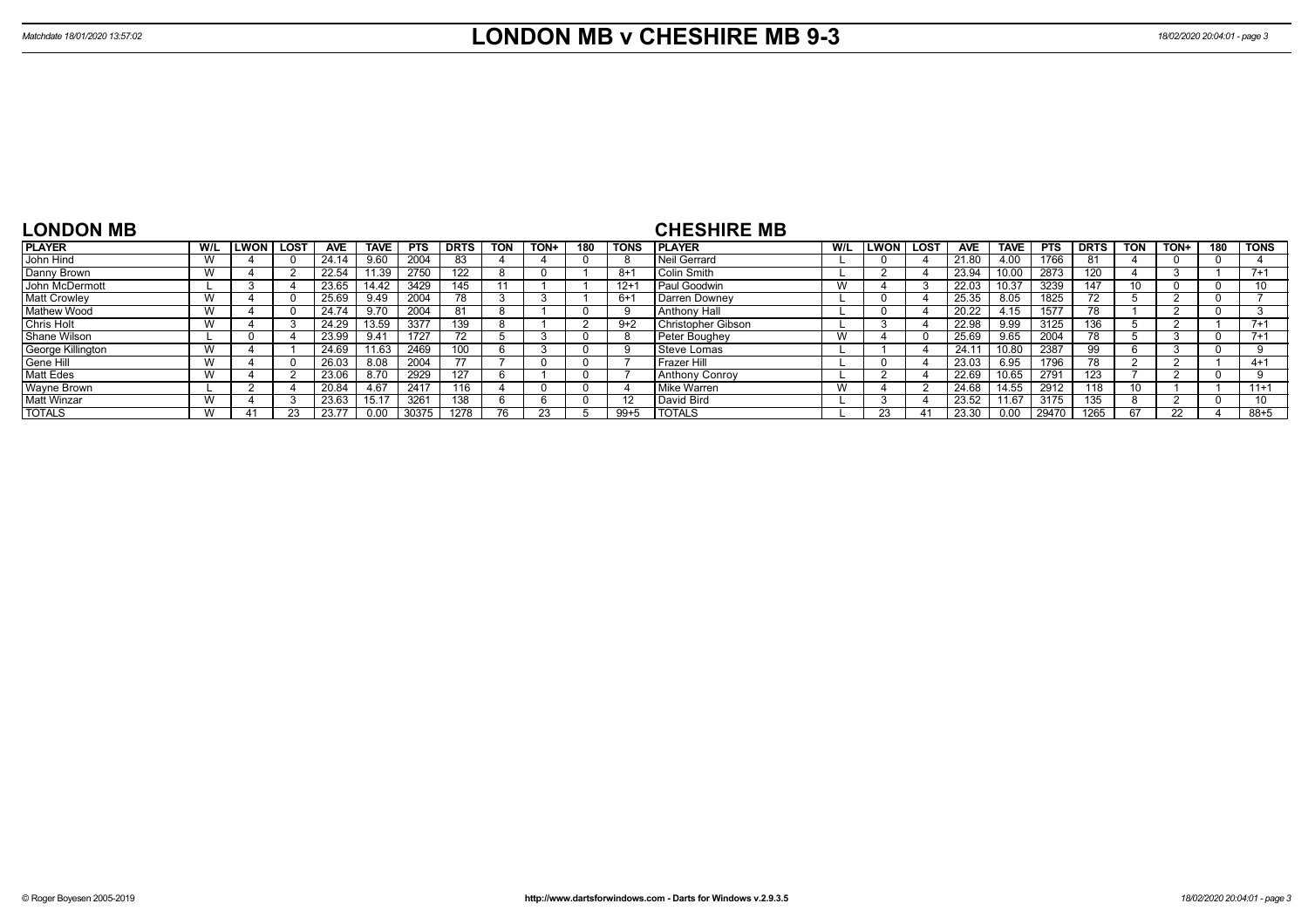| <b>LONDON MB</b>    |     |      |      |       |               |            |             |            |      |     |             | <b>CHESHIRE MB</b>        |     |              |      |            |             |            |             |            |      |     |             |
|---------------------|-----|------|------|-------|---------------|------------|-------------|------------|------|-----|-------------|---------------------------|-----|--------------|------|------------|-------------|------------|-------------|------------|------|-----|-------------|
| <b>PLAYER</b>       | W/L | LWON | LOST | AVE   | <b>TAVE</b>   | <b>PTS</b> | <b>DRTS</b> | <b>TON</b> | TON+ | 180 | <b>TONS</b> | <b>IPLAYER</b>            | W/L | <b>ILWON</b> | LOST | <b>AVE</b> | <b>TAVE</b> | <b>PTS</b> | <b>DRTS</b> | <b>TON</b> | TON+ | 180 | <b>TONS</b> |
| John Hind           | W   |      |      | 24.14 | 9.60          | 2004       |             |            |      |     | -8          | Neil Gerrard              |     |              |      | 21.80      | .00.        | 1766       | -81         |            |      |     |             |
| Danny Brown         | W   |      |      | 22.54 | 11.39         | 2750       | 122         |            |      |     | $8 + 1$     | Colin Smith               |     |              |      | 23.94      | 10.00       | 2873       | 120         |            |      |     | $7 + 1$     |
| John McDermott      |     |      |      | 23.65 | 14.42         | 3429       | 145         |            |      |     | $12 + 1$    | Paul Goodwin              | W   |              |      | 22.03      | 10.37       | 3239       | 147         |            |      |     |             |
| <b>Matt Crowley</b> | W   |      |      | 25.69 | 9.49          | 2004       | 78          |            |      |     | $6+$        | Darren Downey             |     |              |      | 25.35      | 8.05        | 1825       |             |            |      |     |             |
| <b>Mathew Wood</b>  | vv  |      |      | 24.74 | 9.70          | 2004       | 81          |            |      |     |             | Anthony Hall              |     |              |      | 20.22      | 4.15        | 1577       |             |            |      |     |             |
| <b>Chris Holt</b>   | W   |      |      | 24.29 | 13.59         | 3377       | 139         |            |      |     | $9+2$       | <b>Christopher Gibson</b> |     |              |      | 22.98      | 9.99        | 3125       | 136         |            |      |     | $7 + 1$     |
| Shane Wilson        |     |      |      | 23.99 | $9.4^{\circ}$ | 1727       |             |            |      |     |             | Peter Boughey             |     |              |      | 25.69      | 9.65        | 2004       |             |            |      |     | $7 + 1$     |
| George Killington   | W   |      |      | 24.69 | 1.63          | 2469       |             |            |      |     |             | Steve Lomas               |     |              |      | 24.1       | 10.80       | 2387       | 99          |            |      |     |             |
| Gene Hill           | W   |      |      | 26.03 | 8.08          | 2004       |             |            |      |     |             | l Frazer Hill             |     |              |      | 23.03      | 6.95        | 1796       | 78          |            |      |     | $4 + 1$     |
| <b>Matt Edes</b>    | W   |      |      | 23.06 | 8.70          | 2929       | 127         |            |      |     |             | <b>Anthony Conroy</b>     |     |              |      | 22.69      | 10.65       | 2791       | 123         |            |      |     |             |
| Wayne Brown         |     |      |      | 20.84 | 4.67          | 2417       | 116         |            |      |     |             | Mike Warren               |     |              |      | 24.68      | 14.55       | 2912       | 118         |            |      |     | $11+1$      |
| <b>Matt Winzar</b>  | W   |      |      | 23.63 | 15.17         | 3261       | 138         |            |      |     | 12          | l David Bird              |     |              |      | 23.52      | 11.67       | 3175       | 135         |            |      |     | 10          |
| <b>TOTALS</b>       |     |      |      | 23.77 |               |            | 1278        |            |      |     | $99 + 5$    | <b>TOTALS</b>             |     | 23           |      | 23.30      |             | 29470      | 1265        |            |      |     | $88 + 5$    |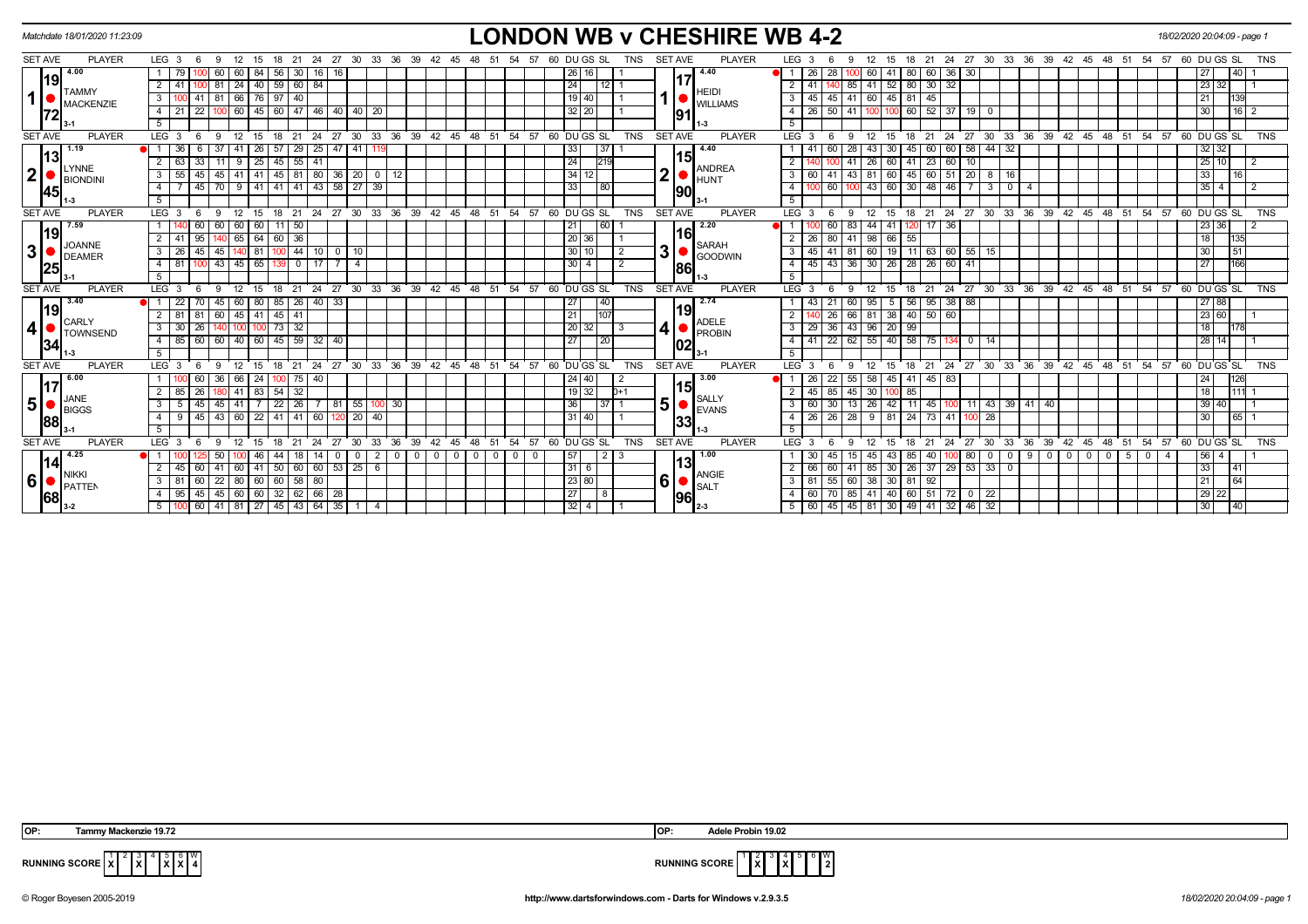|                | Matchdate 18/01/2020 11:23:09 |                                                                                                        | <b>LONDON WB v CHESHIRE WB 4-2</b>                                                                 |                                 |                                                                                                                                     | 18/02/2020 20:04:09 - page 1    |
|----------------|-------------------------------|--------------------------------------------------------------------------------------------------------|----------------------------------------------------------------------------------------------------|---------------------------------|-------------------------------------------------------------------------------------------------------------------------------------|---------------------------------|
| <b>SET AVE</b> | <b>PLAYER</b>                 | LEG <sub>3</sub><br>-24<br>27<br>30<br>- 9<br>18<br>-21<br>- 6                                         | 33 36<br>39<br>DU GS SL<br>42<br><b>TNS</b><br>45<br>48<br>-51<br>-57                              | <b>PLAYER</b><br><b>SET AVE</b> | LEG <sub>3</sub><br>27 30<br>33<br>36<br>39<br>24<br>42<br>48<br>15<br>-21<br>45<br>-51<br>-54<br>-18                               | 60 DU GS SL<br>TNS<br>57        |
|                | 4.00                          | 60<br>56                                                                                               | 26 I                                                                                               | 4.40                            | 26<br>28<br>60<br>41<br>60<br>36                                                                                                    | 40                              |
|                | 19 <br><b>TAMMY</b>           | $24$   40   59   60   84<br>$\overline{2}$<br>$00$ 81                                                  | 24 <br>$112$ 1                                                                                     | <b>HEIDI</b>                    | $52 \mid 80 \mid 30 \mid 32$<br>$2 \mid 41$<br>$85 \mid 41$                                                                         | 23 32                           |
| $\mathbf{1}$   | <b>MACKENZIE</b>              | 66 76 97<br>40<br>$41$ 81<br>$\mathbf{3}$                                                              | 19   40                                                                                            | <b>WILLIAMS</b>                 | 45 41 60<br>45 81 45<br>$3 \mid 45$                                                                                                 | 139                             |
|                | 72                            | 60 45 60 47 46 40 40 20<br>22<br>4<br>100                                                              | 32 20                                                                                              | 91                              | $100 \mid 60 \mid 52 \mid 37 \mid 19 \mid 0$<br>$50$   41  <br>$4 \mid 26$<br>100                                                   | 16<br>30                        |
|                |                               | 5                                                                                                      |                                                                                                    |                                 | 5                                                                                                                                   |                                 |
| <b>SET AVE</b> | <b>PLAYER</b>                 | LEG <sub>3</sub><br>- 9<br>12<br>18<br>$^{\circ}$ 21<br>$24 \overline{\smash{\big)}\ 27}$<br>- 6<br>15 | 30 33 36 39 42 45 48 51 54 57 60 DUGS SL<br><b>TNS</b>                                             | <b>SET AVE</b><br><b>PLAYER</b> | 18 21 24 27 30 33 36 39 42 45 48 51<br>LEG 3<br>- 9<br>12<br>15<br>- 6                                                              | $54$ $57$ 60 DU GS SL<br>TNS    |
|                | 1.19<br>13                    | 29 25 47 41 119<br>36<br>-37<br>  26   57<br>41                                                        | 37  <br>33                                                                                         | 4.40                            | $60$ 58 44 32<br>60   28<br>43<br>30   45  <br>  60                                                                                 | 32 32                           |
|                | LYNNE                         | 55   41<br> 45 <br>$\overline{2}$<br>$9 \mid 25 \mid$<br>63<br>-33 I<br>11                             | 24 <br>219                                                                                         | 151<br><b>ANDREA</b>            | 23<br>60<br>26<br>60<br>2 <sup>1</sup><br>41<br>10<br>l 41                                                                          | 25 10<br>$\overline{2}$         |
| $\mathbf{2}$   | <b>BIONDINI</b>               | 45 45 41 41 45 81 80 36 20 0 12<br>55<br>$\mathbf{3}$                                                  | 34 12                                                                                              | $\overline{2}$<br><b>HUNT</b>   | $60$ 45 60 51 20 8 16<br>41 43 81<br>$3 \mid 60$                                                                                    | 16<br>33                        |
|                | 45                            | 9 41 41 41 43 58 27 39<br>$45$ 70<br>$\overline{4}$                                                    | 33<br> 80                                                                                          | 90                              | 60   100   43   60   30   48   46   7   3  <br>4 I<br>$\overline{0}$<br>$\overline{4}$                                              | $35 \mid 4$<br>$\frac{12}{2}$   |
|                |                               | 5 <sup>5</sup>                                                                                         |                                                                                                    |                                 | 5 <sup>5</sup>                                                                                                                      |                                 |
| <b>SET AVE</b> | <b>PLAYER</b>                 | LEG <sub>3</sub><br>$12 \overline{ }$<br>15<br>18<br>21<br>-6<br>- 9                                   | 24 27 30 33 36 39 42 45 48 51<br>54 57 60 DU GS SL<br><b>TNS</b>                                   | <b>PLAYER</b><br><b>SET AVE</b> | 18 21 24 27 30 33 36 39 42 45 48 51 54 57 60 DUGS SL<br>LEG <sub>3</sub><br>12<br>15<br>-9                                          | <b>TNS</b>                      |
|                | 7.59<br> 19                   | 50 <sub>1</sub><br>60<br>60   60   11                                                                  | 60<br>21                                                                                           | 2.20<br>116                     | 44<br>$120$ 17 36<br>41 I<br>60 I<br>-83                                                                                            | 23 36                           |
|                | <b>JOANNE</b>                 | 36<br>2<br>65 64 60                                                                                    | 20 36                                                                                              | <b>SARAH</b>                    | 2   26<br>80 41 98 66 55                                                                                                            | 135                             |
| 3 <sup>1</sup> | DEAMER                        | 44 10<br>$\mathbf{3}$<br>26 45<br>  45<br>$\overline{11}$ 81 $\overline{1}$<br>$\circ$<br>10           | 30 <sup>1</sup><br>$\overline{2}$                                                                  | 3<br><b>GOODWIN</b>             | 19 11 63 60 55 15<br>3   45  <br>41   81  <br>60                                                                                    | $\sqrt{51}$<br>30               |
|                | 25                            | $100$ 43 45 65<br>$\overline{4}$<br>81<br>0 1 1 7<br>-139                                              | 30 <sup>1</sup><br>$\overline{2}$                                                                  | 186                             | 26 28 26 60 41<br>43 36 30<br>4   45                                                                                                | 166<br>27                       |
|                |                               | 5                                                                                                      |                                                                                                    |                                 | 5                                                                                                                                   |                                 |
| <b>SET AVE</b> | <b>PLAYER</b>                 | LEG <sup>1</sup><br>24<br>27<br>30 <sup>2</sup><br>18<br>21                                            | $33 \quad 36$<br>$39^{\circ}$<br>$42 \quad 45$<br>48<br>54<br>57<br>60 DUGS SL<br><b>TNS</b><br>51 | <b>SET AVE</b><br><b>PLAYER</b> | $36 \overline{39}$<br>$27 \cdot 30$<br>ີ 33<br>42<br>$45 \quad 48 \quad 51$<br>54<br>LEG <sup>3</sup><br>24<br>21<br>18             | 57<br>60 DU GS SL<br><b>TNS</b> |
|                | 3.40<br> 19                   | 85<br>$26$ 40 33<br>45                                                                                 | 27<br>40                                                                                           | 2.74<br>19                      | 95<br>38   88<br>95<br>56<br>-5                                                                                                     | 27 88                           |
|                | CARLY                         | 45 41 45<br>60<br>41<br>$\overline{2}$<br>8'                                                           | 21                                                                                                 | <b>ADELE</b>                    | 38 40 50 60<br>81                                                                                                                   | 23 60                           |
| 4              | <b>TOWNSEND</b>               | $100$ 73 32<br>3 <sup>1</sup><br>30<br>140                                                             | 20 32 <br>  3                                                                                      | 4 • <br><b>PROBIN</b>           | 36 43 96 20 99<br>$3 \mid 29$                                                                                                       | 178                             |
|                | 34                            | 40   60   45<br>$59 \mid 32 \mid 40$<br>85 60 60<br>$\overline{4}$                                     | 27<br>l 20 l                                                                                       | 102                             | 22   62   55<br>40 58<br>75<br>4   41<br>$134$ 0 $\overline{\phantom{0}}$<br>14                                                     | 28 14                           |
|                |                               | -5                                                                                                     |                                                                                                    |                                 | -5                                                                                                                                  |                                 |
| <b>SET AVE</b> | <b>PLAYER</b>                 | LEG <sub>3</sub><br>$12 \overline{ }$<br>15<br>18<br>$^{\circ}$ 21<br>-6<br>- 9                        | 24 27 30 33 36 39 42 45 48<br>51<br>54 57<br>60 DU GS SL<br><b>TNS</b>                             | <b>SET AVE</b><br><b>PLAYER</b> | 18 21 24 27 30 33 36 39 42<br>$LEG^3$ 3<br>12<br>45 48 51<br>15<br>-6<br>-9                                                         | 54 57 60 DU GS SL<br>TNS        |
|                | 6.00<br>17                    | 36<br>66   24  <br>75   40<br>100                                                                      | 24   40                                                                                            | 3.00<br>15                      | 22   55   58<br>45 41 45 83<br>-26                                                                                                  | 24<br>126                       |
|                | <b>JANE</b>                   | $\overline{2}$<br>$41 \mid 83 \mid 54$<br>32<br>26                                                     | 19 32 <br>D+1                                                                                      | <b>SALLY</b>                    | 30<br>45<br>100 85<br>85   45                                                                                                       | 1111<br>18                      |
| 5              | <b>BIGGS</b>                  | $\sqrt{22}$<br>$\mathbf{3}$<br> 45 <br>$26$   7<br>$\sqrt{81}$<br>41 I<br>45 I                         | 36<br>55 100 30<br>37   1                                                                          | 5<br><b>EVANS</b>               | $30$   13   26<br>42   11   45  <br>43 39 41 40<br>3   60<br>$100$   11                                                             | 39<br>40                        |
|                | 88                            | 45 43 60 22 41 41 60<br>$\overline{4}$<br>120<br>9                                                     | $20 \overline{40}$<br>31 40                                                                        | 33                              | $4 \mid 26 \mid$<br>26   28   9   81   24   73   41   100   28                                                                      | 65<br>30                        |
|                |                               | 5                                                                                                      |                                                                                                    |                                 | 5                                                                                                                                   |                                 |
| <b>SET AVE</b> | <b>PLAYER</b>                 | LEG <sub>3</sub><br>$12 \overline{ }$<br>18<br>24<br>27<br>30<br>- 6<br>- 9<br>- 15<br>21              | 33<br>36<br>39 42 45<br>48<br>51<br>54 57<br>60 DUGS SL<br><b>TNS</b>                              | <b>SET AVE</b><br><b>PLAYER</b> | LEG 3<br>ີ 33<br>$36 \t39$<br>42 45 48<br>51<br>54<br>12<br>15<br>-24<br>27<br>30<br>- 9<br>- 18<br>- 21                            | 60 DU GS SL<br><b>TNS</b><br>57 |
|                | 4.25<br> 14                   | $\blacksquare$<br>44<br>$^{\circ}$<br>50<br>18 I<br>l 14<br>0                                          | 57<br>$\circ$ 1<br>$\mathbf{0}$<br>$\circ$ 1<br>$\circ$ 1<br>2 <sup>1</sup><br>- 0                 | 1.00<br>l13                     | 900<br>$\circ$ 1<br>-80 I<br>$\overline{0}$<br>$\overline{\mathbf{0}}$<br>5<br>45<br>43   85  <br>40<br>$\mathbf{0}$<br>45 I<br>-15 | 56 4<br>$0$   4                 |
|                | <b>NIKKI</b>                  | 60   60   53   25   6<br>60 41 50<br>2<br>45 60 41                                                     | 316                                                                                                | ANGIE                           | 60 41 85 30 26 37 29 53 33 0<br>$2 \mid 66$                                                                                         | 33<br>$\overline{141}$          |
| 6              | PATTEN                        | 80 60 60 58 80<br>60 22<br>3 <sup>1</sup><br>81                                                        | 23 80                                                                                              | 6<br><b>SALT</b>                | 30   81   92<br>3 81 55 60 38                                                                                                       | 64<br>21                        |
|                | 68                            | $95 \mid 45 \mid 45 \mid 60 \mid 60 \mid 32 \mid 62 \mid 66 \mid 28$<br>$\overline{4}$                 | 27 <br>l 8                                                                                         | 96                              | 70   85   41   40   60   51   72   0   22<br>4 60                                                                                   | 29 22                           |
|                |                               | 60   41   81   27   45   43   64   35  <br>5 <sub>1</sub>                                              | 32 4<br>1   4                                                                                      |                                 | 5 60 45 45 81 30 49 41 32 46 32                                                                                                     | $-40$<br>30                     |

| OP: | lackenzie:<br><b>Tammy M</b><br>10.<br>19.14 | IOP: | 19.02<br>Adele l<br>Probil |
|-----|----------------------------------------------|------|----------------------------|
|     |                                              |      |                            |

**X X**  $\vert$ 4

**X**



**RUNNING SCORE**  $\begin{bmatrix} 1 & 2 & 3 \ 1 & 2 & 3 \end{bmatrix}$